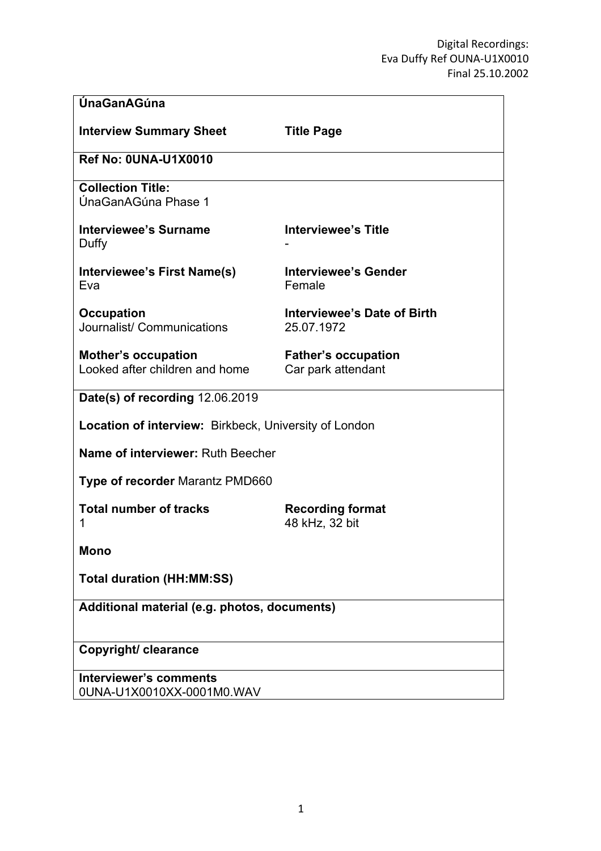| ÚnaGanAGúna                                                  |                                                  |
|--------------------------------------------------------------|--------------------------------------------------|
| <b>Interview Summary Sheet</b>                               | <b>Title Page</b>                                |
| <b>Ref No: 0UNA-U1X0010</b>                                  |                                                  |
| <b>Collection Title:</b><br>ÚnaGanAGúna Phase 1              |                                                  |
| <b>Interviewee's Surname</b><br>Duffy                        | <b>Interviewee's Title</b>                       |
| Interviewee's First Name(s)<br>Eva                           | <b>Interviewee's Gender</b><br>Female            |
| <b>Occupation</b><br>Journalist/ Communications              | Interviewee's Date of Birth<br>25.07.1972        |
| <b>Mother's occupation</b><br>Looked after children and home | <b>Father's occupation</b><br>Car park attendant |
| Date(s) of recording 12.06.2019                              |                                                  |
| <b>Location of interview:</b> Birkbeck, University of London |                                                  |
| Name of interviewer: Ruth Beecher                            |                                                  |
| <b>Type of recorder Marantz PMD660</b>                       |                                                  |
| <b>Total number of tracks</b><br>1                           | <b>Recording format</b><br>48 kHz, 32 bit        |
| Mono                                                         |                                                  |
| <b>Total duration (HH:MM:SS)</b>                             |                                                  |
| Additional material (e.g. photos, documents)                 |                                                  |
| Copyright/ clearance                                         |                                                  |
| <b>Interviewer's comments</b><br>0UNA-U1X0010XX-0001M0.WAV   |                                                  |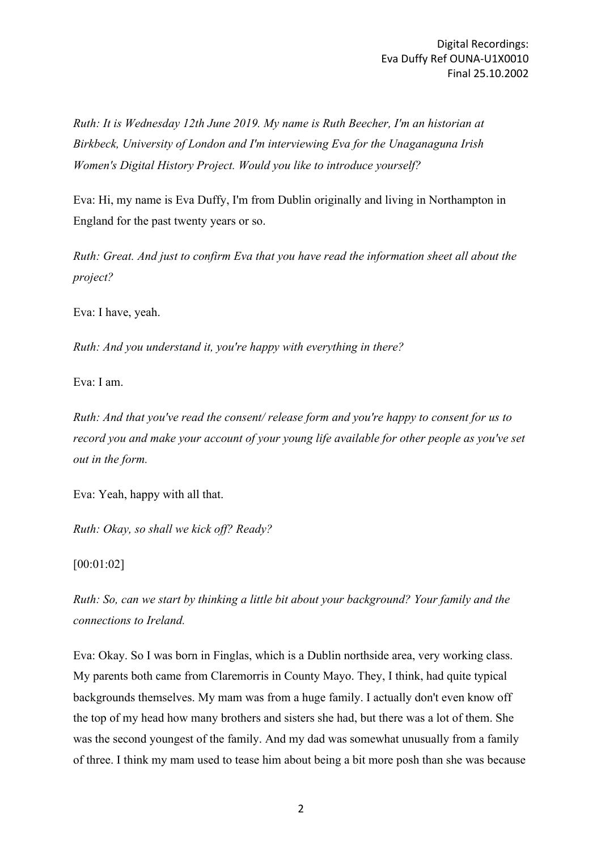*Ruth: It is Wednesday 12th June 2019. My name is Ruth Beecher, I'm an historian at Birkbeck, University of London and I'm interviewing Eva for the Unaganaguna Irish Women's Digital History Project. Would you like to introduce yourself?*

Eva: Hi, my name is Eva Duffy, I'm from Dublin originally and living in Northampton in England for the past twenty years or so.

*Ruth: Great. And just to confirm Eva that you have read the information sheet all about the project?*

Eva: I have, yeah.

*Ruth: And you understand it, you're happy with everything in there?*

Eva: I am.

*Ruth: And that you've read the consent/ release form and you're happy to consent for us to record you and make your account of your young life available for other people as you've set out in the form.*

Eva: Yeah, happy with all that.

*Ruth: Okay, so shall we kick off? Ready?*

[00:01:02]

*Ruth: So, can we start by thinking a little bit about your background? Your family and the connections to Ireland.*

Eva: Okay. So I was born in Finglas, which is a Dublin northside area, very working class. My parents both came from Claremorris in County Mayo. They, I think, had quite typical backgrounds themselves. My mam was from a huge family. I actually don't even know off the top of my head how many brothers and sisters she had, but there was a lot of them. She was the second youngest of the family. And my dad was somewhat unusually from a family of three. I think my mam used to tease him about being a bit more posh than she was because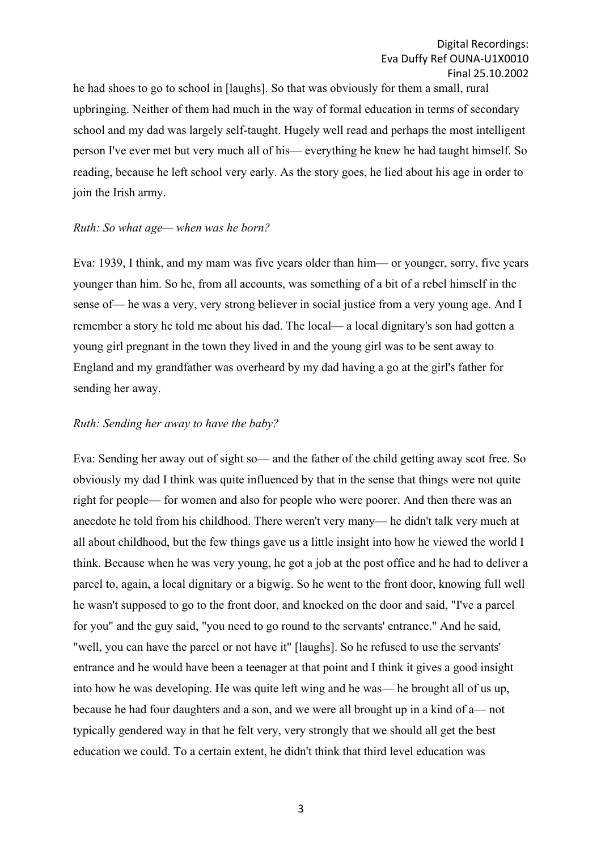he had shoes to go to school in [laughs]. So that was obviously for them a small, rural upbringing. Neither of them had much in the way of formal education in terms of secondary school and my dad was largely self-taught. Hugely well read and perhaps the most intelligent person I've ever met but very much all of his— everything he knew he had taught himself. So reading, because he left school very early. As the story goes, he lied about his age in order to join the Irish army.

### *Ruth: So what age— when was he born?*

Eva: 1939, I think, and my mam was five years older than him— or younger, sorry, five years younger than him. So he, from all accounts, was something of a bit of a rebel himself in the sense of— he was a very, very strong believer in social justice from a very young age. And I remember a story he told me about his dad. The local— a local dignitary's son had gotten a young girl pregnant in the town they lived in and the young girl was to be sent away to England and my grandfather was overheard by my dad having a go at the girl's father for sending her away.

### *Ruth: Sending her away to have the baby?*

Eva: Sending her away out of sight so— and the father of the child getting away scot free. So obviously my dad I think was quite influenced by that in the sense that things were not quite right for people— for women and also for people who were poorer. And then there was an anecdote he told from his childhood. There weren't very many— he didn't talk very much at all about childhood, but the few things gave us a little insight into how he viewed the world I think. Because when he was very young, he got a job at the post office and he had to deliver a parcel to, again, a local dignitary or a bigwig. So he went to the front door, knowing full well he wasn't supposed to go to the front door, and knocked on the door and said, "I've a parcel for you" and the guy said, "you need to go round to the servants' entrance." And he said, "well, you can have the parcel or not have it" [laughs]. So he refused to use the servants' entrance and he would have been a teenager at that point and I think it gives a good insight into how he was developing. He was quite left wing and he was— he brought all of us up, because he had four daughters and a son, and we were all brought up in a kind of a— not typically gendered way in that he felt very, very strongly that we should all get the best education we could. To a certain extent, he didn't think that third level education was

3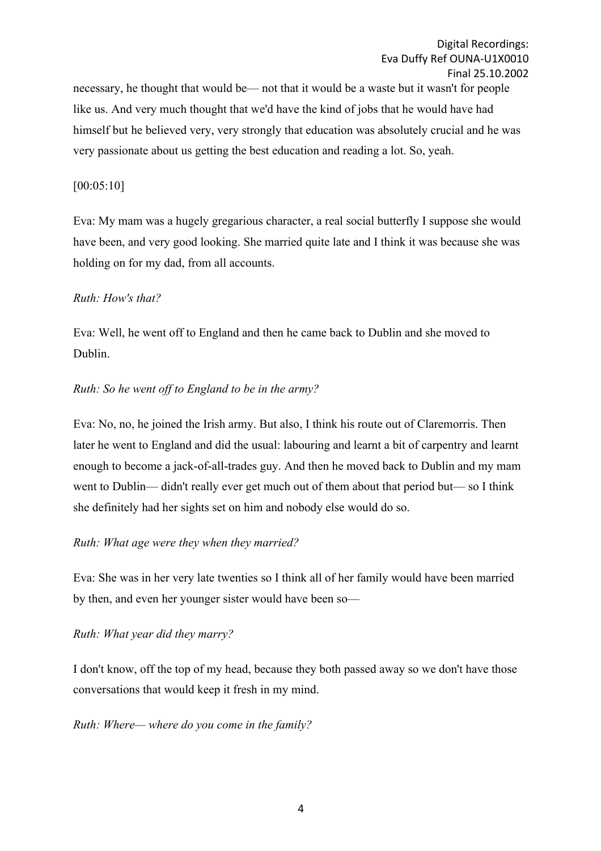necessary, he thought that would be— not that it would be a waste but it wasn't for people like us. And very much thought that we'd have the kind of jobs that he would have had himself but he believed very, very strongly that education was absolutely crucial and he was very passionate about us getting the best education and reading a lot. So, yeah.

## [00:05:10]

Eva: My mam was a hugely gregarious character, a real social butterfly I suppose she would have been, and very good looking. She married quite late and I think it was because she was holding on for my dad, from all accounts.

## *Ruth: How's that?*

Eva: Well, he went off to England and then he came back to Dublin and she moved to Dublin.

## *Ruth: So he went off to England to be in the army?*

Eva: No, no, he joined the Irish army. But also, I think his route out of Claremorris. Then later he went to England and did the usual: labouring and learnt a bit of carpentry and learnt enough to become a jack-of-all-trades guy. And then he moved back to Dublin and my mam went to Dublin— didn't really ever get much out of them about that period but— so I think she definitely had her sights set on him and nobody else would do so.

## *Ruth: What age were they when they married?*

Eva: She was in her very late twenties so I think all of her family would have been married by then, and even her younger sister would have been so—

### *Ruth: What year did they marry?*

I don't know, off the top of my head, because they both passed away so we don't have those conversations that would keep it fresh in my mind.

### *Ruth: Where— where do you come in the family?*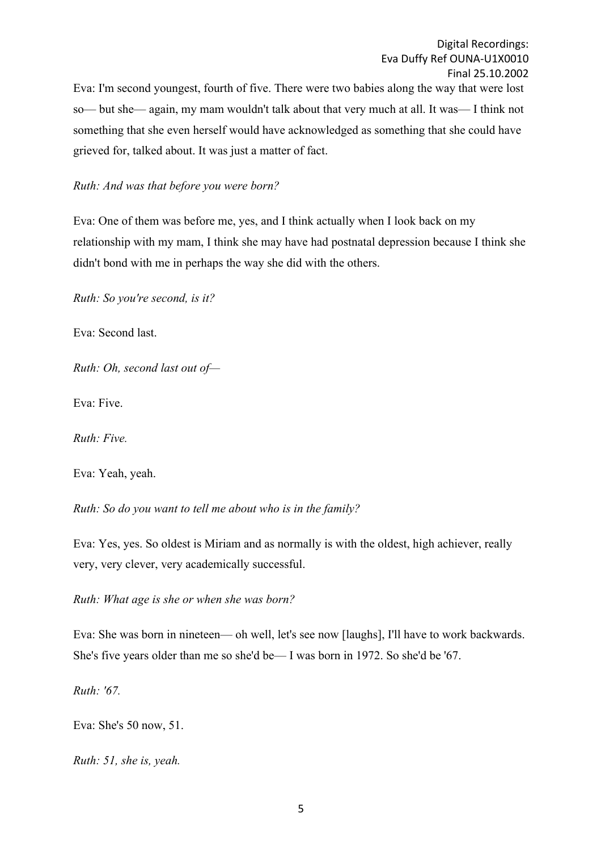Digital Recordings: Eva Duffy Ref OUNA-U1X0010 Final 25.10.2002

Eva: I'm second youngest, fourth of five. There were two babies along the way that were lost so— but she— again, my mam wouldn't talk about that very much at all. It was— I think not something that she even herself would have acknowledged as something that she could have grieved for, talked about. It was just a matter of fact.

### *Ruth: And was that before you were born?*

Eva: One of them was before me, yes, and I think actually when I look back on my relationship with my mam, I think she may have had postnatal depression because I think she didn't bond with me in perhaps the way she did with the others.

*Ruth: So you're second, is it?*

Eva: Second last.

*Ruth: Oh, second last out of—*

Eva: Five.

*Ruth: Five.*

Eva: Yeah, yeah.

*Ruth: So do you want to tell me about who is in the family?*

Eva: Yes, yes. So oldest is Miriam and as normally is with the oldest, high achiever, really very, very clever, very academically successful.

*Ruth: What age is she or when she was born?*

Eva: She was born in nineteen— oh well, let's see now [laughs], I'll have to work backwards. She's five years older than me so she'd be— I was born in 1972. So she'd be '67.

*Ruth: '67.*

Eva: She's 50 now, 51.

*Ruth: 51, she is, yeah.*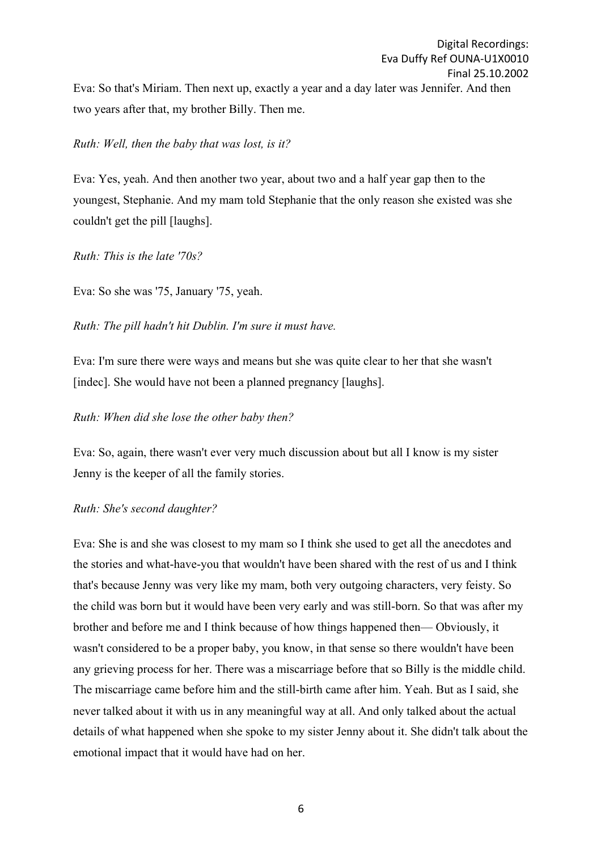### *Ruth: Well, then the baby that was lost, is it?*

Eva: Yes, yeah. And then another two year, about two and a half year gap then to the youngest, Stephanie. And my mam told Stephanie that the only reason she existed was she couldn't get the pill [laughs].

## *Ruth: This is the late '70s?*

Eva: So she was '75, January '75, yeah.

*Ruth: The pill hadn't hit Dublin. I'm sure it must have.*

Eva: I'm sure there were ways and means but she was quite clear to her that she wasn't [indec]. She would have not been a planned pregnancy [laughs].

## *Ruth: When did she lose the other baby then?*

Eva: So, again, there wasn't ever very much discussion about but all I know is my sister Jenny is the keeper of all the family stories.

## *Ruth: She's second daughter?*

Eva: She is and she was closest to my mam so I think she used to get all the anecdotes and the stories and what-have-you that wouldn't have been shared with the rest of us and I think that's because Jenny was very like my mam, both very outgoing characters, very feisty. So the child was born but it would have been very early and was still-born. So that was after my brother and before me and I think because of how things happened then— Obviously, it wasn't considered to be a proper baby, you know, in that sense so there wouldn't have been any grieving process for her. There was a miscarriage before that so Billy is the middle child. The miscarriage came before him and the still-birth came after him. Yeah. But as I said, she never talked about it with us in any meaningful way at all. And only talked about the actual details of what happened when she spoke to my sister Jenny about it. She didn't talk about the emotional impact that it would have had on her.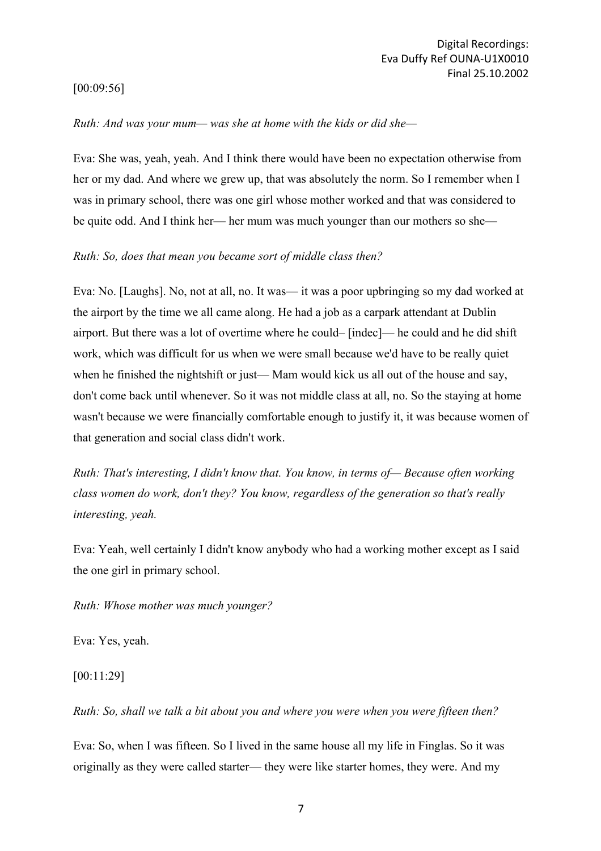## [00:09:56]

### *Ruth: And was your mum— was she at home with the kids or did she—*

Eva: She was, yeah, yeah. And I think there would have been no expectation otherwise from her or my dad. And where we grew up, that was absolutely the norm. So I remember when I was in primary school, there was one girl whose mother worked and that was considered to be quite odd. And I think her— her mum was much younger than our mothers so she—

### *Ruth: So, does that mean you became sort of middle class then?*

Eva: No. [Laughs]. No, not at all, no. It was— it was a poor upbringing so my dad worked at the airport by the time we all came along. He had a job as a carpark attendant at Dublin airport. But there was a lot of overtime where he could– [indec]— he could and he did shift work, which was difficult for us when we were small because we'd have to be really quiet when he finished the nightshift or just— Mam would kick us all out of the house and say, don't come back until whenever. So it was not middle class at all, no. So the staying at home wasn't because we were financially comfortable enough to justify it, it was because women of that generation and social class didn't work.

*Ruth: That's interesting, I didn't know that. You know, in terms of— Because often working class women do work, don't they? You know, regardless of the generation so that's really interesting, yeah.*

Eva: Yeah, well certainly I didn't know anybody who had a working mother except as I said the one girl in primary school.

## *Ruth: Whose mother was much younger?*

Eva: Yes, yeah.

[00:11:29]

*Ruth: So, shall we talk a bit about you and where you were when you were fifteen then?*

Eva: So, when I was fifteen. So I lived in the same house all my life in Finglas. So it was originally as they were called starter— they were like starter homes, they were. And my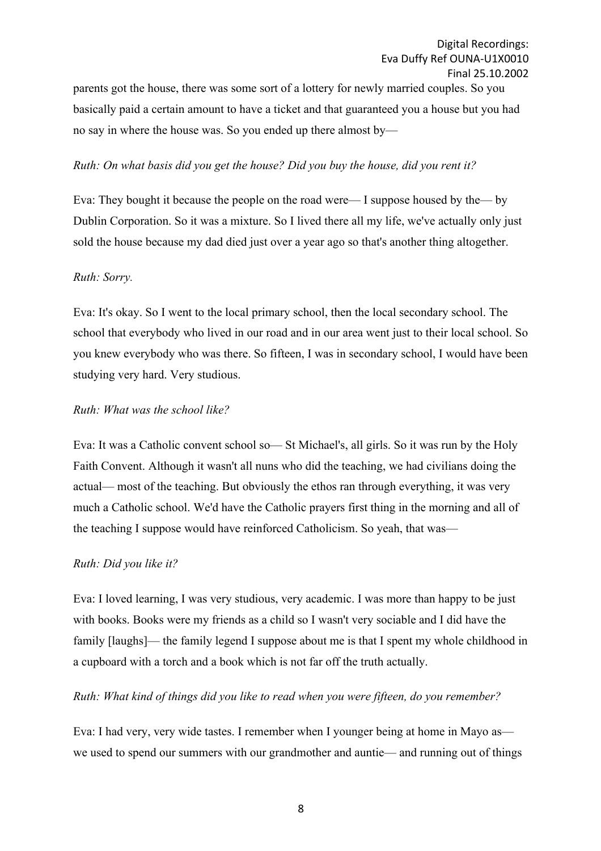parents got the house, there was some sort of a lottery for newly married couples. So you basically paid a certain amount to have a ticket and that guaranteed you a house but you had no say in where the house was. So you ended up there almost by—

### *Ruth: On what basis did you get the house? Did you buy the house, did you rent it?*

Eva: They bought it because the people on the road were— I suppose housed by the— by Dublin Corporation. So it was a mixture. So I lived there all my life, we've actually only just sold the house because my dad died just over a year ago so that's another thing altogether.

### *Ruth: Sorry.*

Eva: It's okay. So I went to the local primary school, then the local secondary school. The school that everybody who lived in our road and in our area went just to their local school. So you knew everybody who was there. So fifteen, I was in secondary school, I would have been studying very hard. Very studious.

### *Ruth: What was the school like?*

Eva: It was a Catholic convent school so— St Michael's, all girls. So it was run by the Holy Faith Convent. Although it wasn't all nuns who did the teaching, we had civilians doing the actual— most of the teaching. But obviously the ethos ran through everything, it was very much a Catholic school. We'd have the Catholic prayers first thing in the morning and all of the teaching I suppose would have reinforced Catholicism. So yeah, that was—

### *Ruth: Did you like it?*

Eva: I loved learning, I was very studious, very academic. I was more than happy to be just with books. Books were my friends as a child so I wasn't very sociable and I did have the family [laughs]— the family legend I suppose about me is that I spent my whole childhood in a cupboard with a torch and a book which is not far off the truth actually.

### *Ruth: What kind of things did you like to read when you were fifteen, do you remember?*

Eva: I had very, very wide tastes. I remember when I younger being at home in Mayo as we used to spend our summers with our grandmother and auntie— and running out of things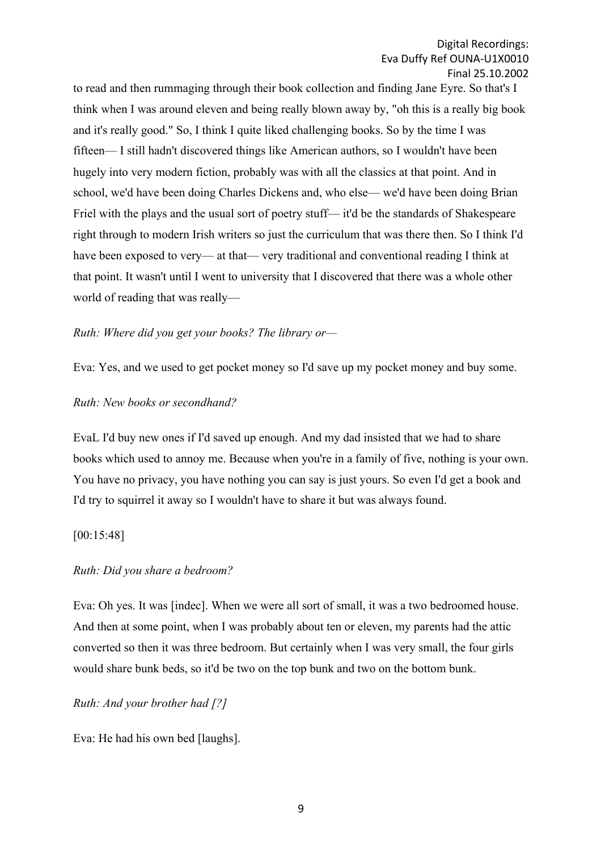to read and then rummaging through their book collection and finding Jane Eyre. So that's I think when I was around eleven and being really blown away by, "oh this is a really big book and it's really good." So, I think I quite liked challenging books. So by the time I was fifteen— I still hadn't discovered things like American authors, so I wouldn't have been hugely into very modern fiction, probably was with all the classics at that point. And in school, we'd have been doing Charles Dickens and, who else— we'd have been doing Brian Friel with the plays and the usual sort of poetry stuff— it'd be the standards of Shakespeare right through to modern Irish writers so just the curriculum that was there then. So I think I'd have been exposed to very— at that— very traditional and conventional reading I think at that point. It wasn't until I went to university that I discovered that there was a whole other world of reading that was really—

## *Ruth: Where did you get your books? The library or—*

Eva: Yes, and we used to get pocket money so I'd save up my pocket money and buy some.

### *Ruth: New books or secondhand?*

EvaL I'd buy new ones if I'd saved up enough. And my dad insisted that we had to share books which used to annoy me. Because when you're in a family of five, nothing is your own. You have no privacy, you have nothing you can say is just yours. So even I'd get a book and I'd try to squirrel it away so I wouldn't have to share it but was always found.

### [00:15:48]

### *Ruth: Did you share a bedroom?*

Eva: Oh yes. It was [indec]. When we were all sort of small, it was a two bedroomed house. And then at some point, when I was probably about ten or eleven, my parents had the attic converted so then it was three bedroom. But certainly when I was very small, the four girls would share bunk beds, so it'd be two on the top bunk and two on the bottom bunk.

### *Ruth: And your brother had [?]*

Eva: He had his own bed [laughs].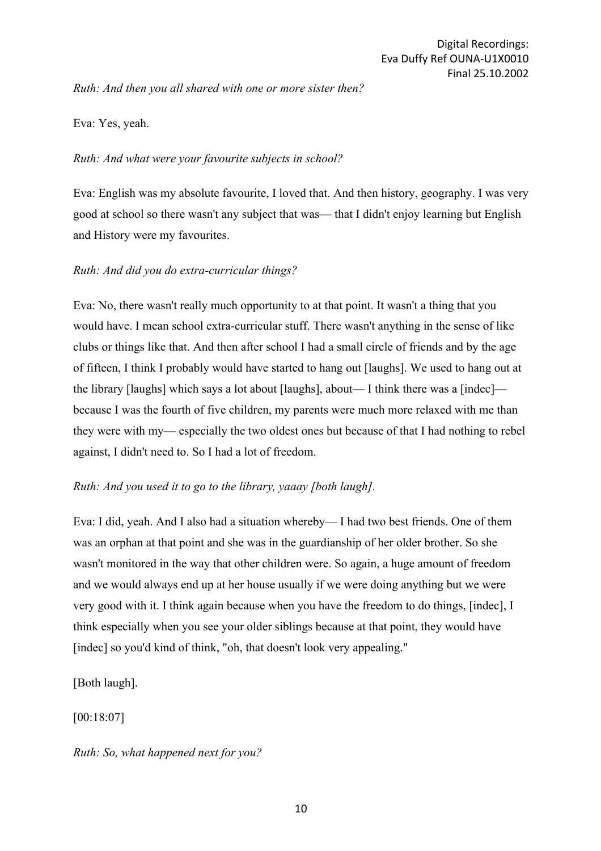*Ruth: And then you all shared with one or more sister then?*

Eva: Yes, yeah.

### *Ruth: And what were your favourite subjects in school?*

Eva: English was my absolute favourite, I loved that. And then history, geography. I was very good at school so there wasn't any subject that was— that I didn't enjoy learning but English and History were my favourites.

## *Ruth: And did you do extra-curricular things?*

Eva: No, there wasn't really much opportunity to at that point. It wasn't a thing that you would have. I mean school extra-curricular stuff. There wasn't anything in the sense of like clubs or things like that. And then after school I had a small circle of friends and by the age of fifteen, I think I probably would have started to hang out [laughs]. We used to hang out at the library [laughs] which says a lot about [laughs], about— I think there was a [indec] because I was the fourth of five children, my parents were much more relaxed with me than they were with my— especially the two oldest ones but because of that I had nothing to rebel against, I didn't need to. So I had a lot of freedom.

### *Ruth: And you used it to go to the library, yaaay [both laugh].*

Eva: I did, yeah. And I also had a situation whereby— I had two best friends. One of them was an orphan at that point and she was in the guardianship of her older brother. So she wasn't monitored in the way that other children were. So again, a huge amount of freedom and we would always end up at her house usually if we were doing anything but we were very good with it. I think again because when you have the freedom to do things, [indec], I think especially when you see your older siblings because at that point, they would have [indec] so you'd kind of think, "oh, that doesn't look very appealing."

[Both laugh].

[00:18:07]

### *Ruth: So, what happened next for you?*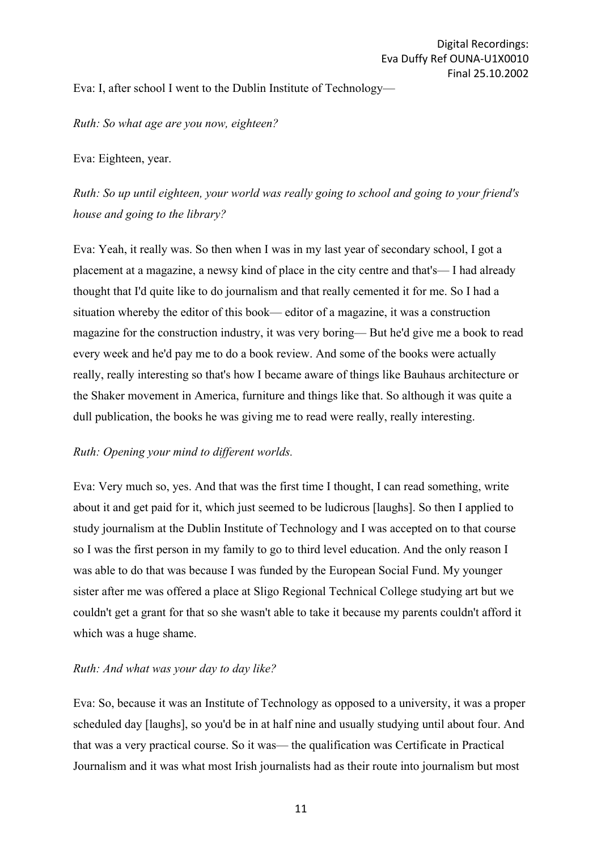Eva: I, after school I went to the Dublin Institute of Technology—

*Ruth: So what age are you now, eighteen?*

Eva: Eighteen, year.

*Ruth: So up until eighteen, your world was really going to school and going to your friend's house and going to the library?*

Eva: Yeah, it really was. So then when I was in my last year of secondary school, I got a placement at a magazine, a newsy kind of place in the city centre and that's— I had already thought that I'd quite like to do journalism and that really cemented it for me. So I had a situation whereby the editor of this book— editor of a magazine, it was a construction magazine for the construction industry, it was very boring— But he'd give me a book to read every week and he'd pay me to do a book review. And some of the books were actually really, really interesting so that's how I became aware of things like Bauhaus architecture or the Shaker movement in America, furniture and things like that. So although it was quite a dull publication, the books he was giving me to read were really, really interesting.

## *Ruth: Opening your mind to different worlds.*

Eva: Very much so, yes. And that was the first time I thought, I can read something, write about it and get paid for it, which just seemed to be ludicrous [laughs]. So then I applied to study journalism at the Dublin Institute of Technology and I was accepted on to that course so I was the first person in my family to go to third level education. And the only reason I was able to do that was because I was funded by the European Social Fund. My younger sister after me was offered a place at Sligo Regional Technical College studying art but we couldn't get a grant for that so she wasn't able to take it because my parents couldn't afford it which was a huge shame.

## *Ruth: And what was your day to day like?*

Eva: So, because it was an Institute of Technology as opposed to a university, it was a proper scheduled day [laughs], so you'd be in at half nine and usually studying until about four. And that was a very practical course. So it was— the qualification was Certificate in Practical Journalism and it was what most Irish journalists had as their route into journalism but most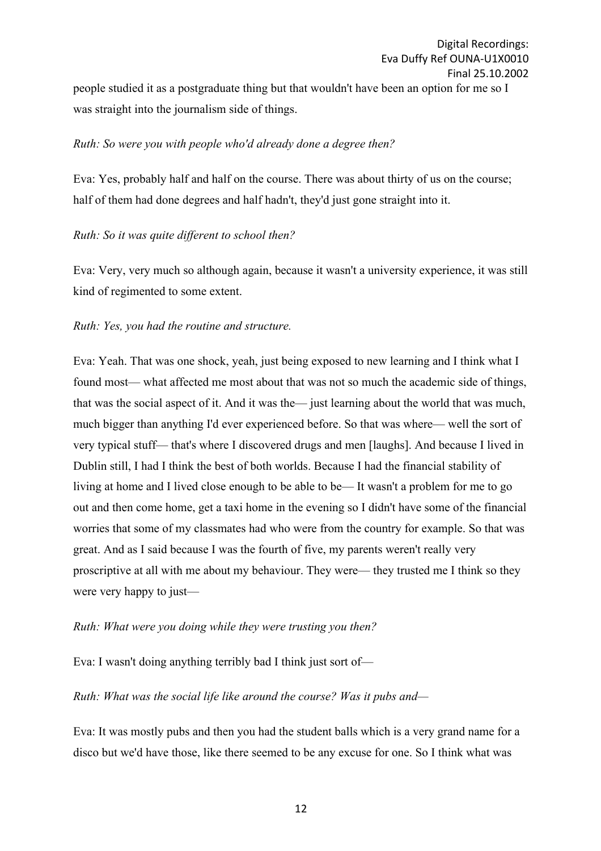people studied it as a postgraduate thing but that wouldn't have been an option for me so I was straight into the journalism side of things.

### *Ruth: So were you with people who'd already done a degree then?*

Eva: Yes, probably half and half on the course. There was about thirty of us on the course; half of them had done degrees and half hadn't, they'd just gone straight into it.

### *Ruth: So it was quite different to school then?*

Eva: Very, very much so although again, because it wasn't a university experience, it was still kind of regimented to some extent.

### *Ruth: Yes, you had the routine and structure.*

Eva: Yeah. That was one shock, yeah, just being exposed to new learning and I think what I found most— what affected me most about that was not so much the academic side of things, that was the social aspect of it. And it was the— just learning about the world that was much, much bigger than anything I'd ever experienced before. So that was where— well the sort of very typical stuff— that's where I discovered drugs and men [laughs]. And because I lived in Dublin still, I had I think the best of both worlds. Because I had the financial stability of living at home and I lived close enough to be able to be— It wasn't a problem for me to go out and then come home, get a taxi home in the evening so I didn't have some of the financial worries that some of my classmates had who were from the country for example. So that was great. And as I said because I was the fourth of five, my parents weren't really very proscriptive at all with me about my behaviour. They were— they trusted me I think so they were very happy to just—

### *Ruth: What were you doing while they were trusting you then?*

Eva: I wasn't doing anything terribly bad I think just sort of—

### *Ruth: What was the social life like around the course? Was it pubs and—*

Eva: It was mostly pubs and then you had the student balls which is a very grand name for a disco but we'd have those, like there seemed to be any excuse for one. So I think what was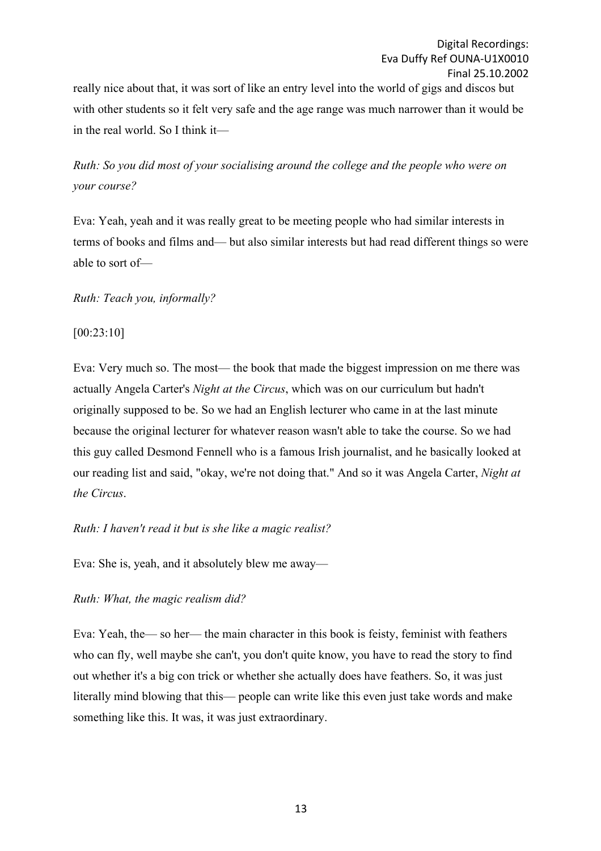really nice about that, it was sort of like an entry level into the world of gigs and discos but with other students so it felt very safe and the age range was much narrower than it would be in the real world. So I think it—

*Ruth: So you did most of your socialising around the college and the people who were on your course?*

Eva: Yeah, yeah and it was really great to be meeting people who had similar interests in terms of books and films and— but also similar interests but had read different things so were able to sort of—

*Ruth: Teach you, informally?*

[00:23:10]

Eva: Very much so. The most— the book that made the biggest impression on me there was actually Angela Carter's *Night at the Circus*, which was on our curriculum but hadn't originally supposed to be. So we had an English lecturer who came in at the last minute because the original lecturer for whatever reason wasn't able to take the course. So we had this guy called Desmond Fennell who is a famous Irish journalist, and he basically looked at our reading list and said, "okay, we're not doing that." And so it was Angela Carter, *Night at the Circus*.

*Ruth: I haven't read it but is she like a magic realist?*

Eva: She is, yeah, and it absolutely blew me away—

*Ruth: What, the magic realism did?*

Eva: Yeah, the— so her— the main character in this book is feisty, feminist with feathers who can fly, well maybe she can't, you don't quite know, you have to read the story to find out whether it's a big con trick or whether she actually does have feathers. So, it was just literally mind blowing that this— people can write like this even just take words and make something like this. It was, it was just extraordinary.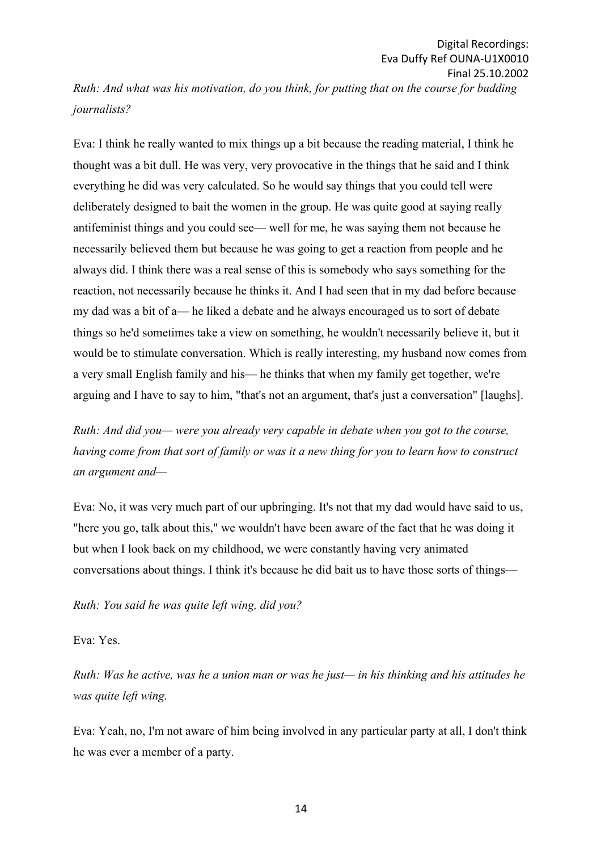*Ruth: And what was his motivation, do you think, for putting that on the course for budding journalists?*

Eva: I think he really wanted to mix things up a bit because the reading material, I think he thought was a bit dull. He was very, very provocative in the things that he said and I think everything he did was very calculated. So he would say things that you could tell were deliberately designed to bait the women in the group. He was quite good at saying really antifeminist things and you could see— well for me, he was saying them not because he necessarily believed them but because he was going to get a reaction from people and he always did. I think there was a real sense of this is somebody who says something for the reaction, not necessarily because he thinks it. And I had seen that in my dad before because my dad was a bit of a— he liked a debate and he always encouraged us to sort of debate things so he'd sometimes take a view on something, he wouldn't necessarily believe it, but it would be to stimulate conversation. Which is really interesting, my husband now comes from a very small English family and his— he thinks that when my family get together, we're arguing and I have to say to him, "that's not an argument, that's just a conversation" [laughs].

*Ruth: And did you— were you already very capable in debate when you got to the course, having come from that sort of family or was it a new thing for you to learn how to construct an argument and—*

Eva: No, it was very much part of our upbringing. It's not that my dad would have said to us, "here you go, talk about this," we wouldn't have been aware of the fact that he was doing it but when I look back on my childhood, we were constantly having very animated conversations about things. I think it's because he did bait us to have those sorts of things—

*Ruth: You said he was quite left wing, did you?*

Eva: Yes.

*Ruth: Was he active, was he a union man or was he just— in his thinking and his attitudes he was quite left wing.*

Eva: Yeah, no, I'm not aware of him being involved in any particular party at all, I don't think he was ever a member of a party.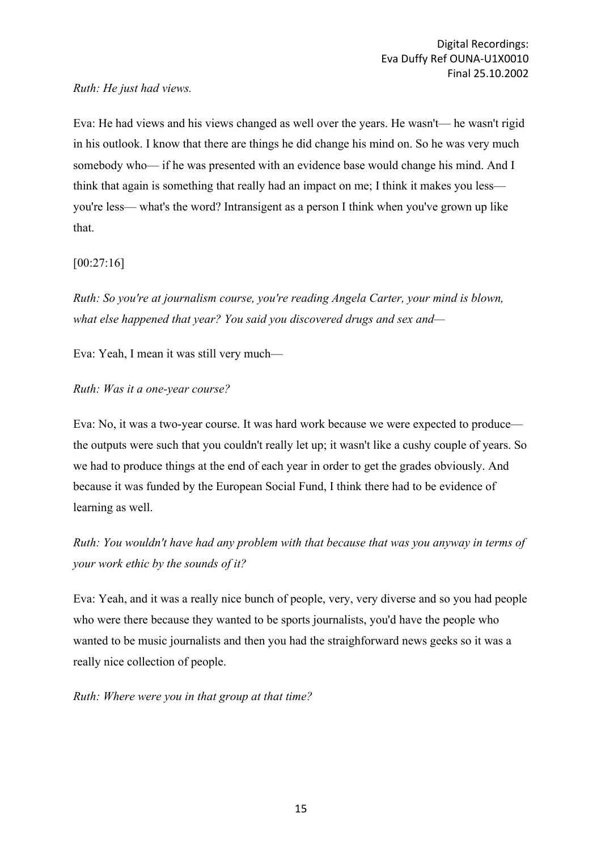*Ruth: He just had views.*

Eva: He had views and his views changed as well over the years. He wasn't— he wasn't rigid in his outlook. I know that there are things he did change his mind on. So he was very much somebody who— if he was presented with an evidence base would change his mind. And I think that again is something that really had an impact on me; I think it makes you less you're less— what's the word? Intransigent as a person I think when you've grown up like that.

[00:27:16]

*Ruth: So you're at journalism course, you're reading Angela Carter, your mind is blown, what else happened that year? You said you discovered drugs and sex and—*

Eva: Yeah, I mean it was still very much—

*Ruth: Was it a one-year course?*

Eva: No, it was a two-year course. It was hard work because we were expected to produce the outputs were such that you couldn't really let up; it wasn't like a cushy couple of years. So we had to produce things at the end of each year in order to get the grades obviously. And because it was funded by the European Social Fund, I think there had to be evidence of learning as well.

*Ruth: You wouldn't have had any problem with that because that was you anyway in terms of your work ethic by the sounds of it?*

Eva: Yeah, and it was a really nice bunch of people, very, very diverse and so you had people who were there because they wanted to be sports journalists, you'd have the people who wanted to be music journalists and then you had the straighforward news geeks so it was a really nice collection of people.

*Ruth: Where were you in that group at that time?*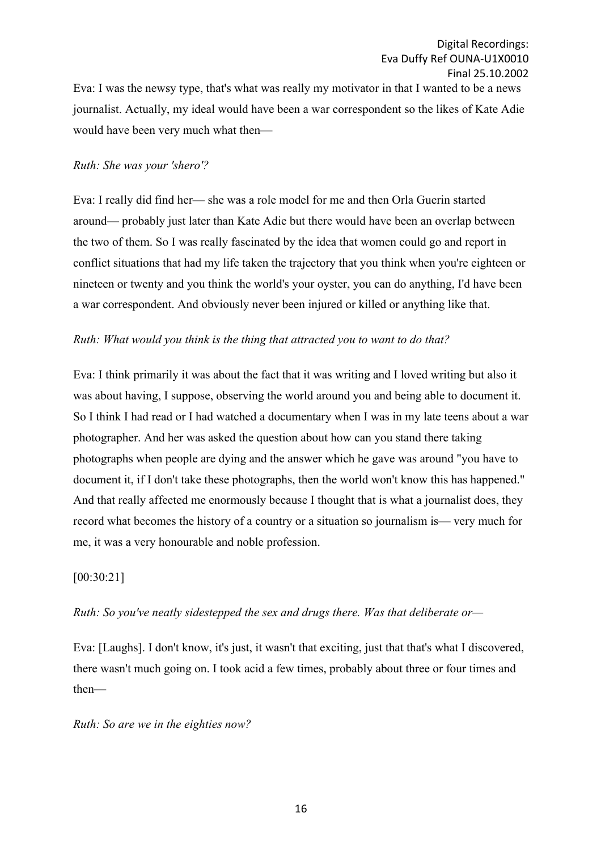Eva: I was the newsy type, that's what was really my motivator in that I wanted to be a news journalist. Actually, my ideal would have been a war correspondent so the likes of Kate Adie would have been very much what then—

### *Ruth: She was your 'shero'?*

Eva: I really did find her— she was a role model for me and then Orla Guerin started around— probably just later than Kate Adie but there would have been an overlap between the two of them. So I was really fascinated by the idea that women could go and report in conflict situations that had my life taken the trajectory that you think when you're eighteen or nineteen or twenty and you think the world's your oyster, you can do anything, I'd have been a war correspondent. And obviously never been injured or killed or anything like that.

### *Ruth: What would you think is the thing that attracted you to want to do that?*

Eva: I think primarily it was about the fact that it was writing and I loved writing but also it was about having, I suppose, observing the world around you and being able to document it. So I think I had read or I had watched a documentary when I was in my late teens about a war photographer. And her was asked the question about how can you stand there taking photographs when people are dying and the answer which he gave was around "you have to document it, if I don't take these photographs, then the world won't know this has happened." And that really affected me enormously because I thought that is what a journalist does, they record what becomes the history of a country or a situation so journalism is— very much for me, it was a very honourable and noble profession.

#### [00:30:21]

### *Ruth: So you've neatly sidestepped the sex and drugs there. Was that deliberate or—*

Eva: [Laughs]. I don't know, it's just, it wasn't that exciting, just that that's what I discovered, there wasn't much going on. I took acid a few times, probably about three or four times and then—

#### *Ruth: So are we in the eighties now?*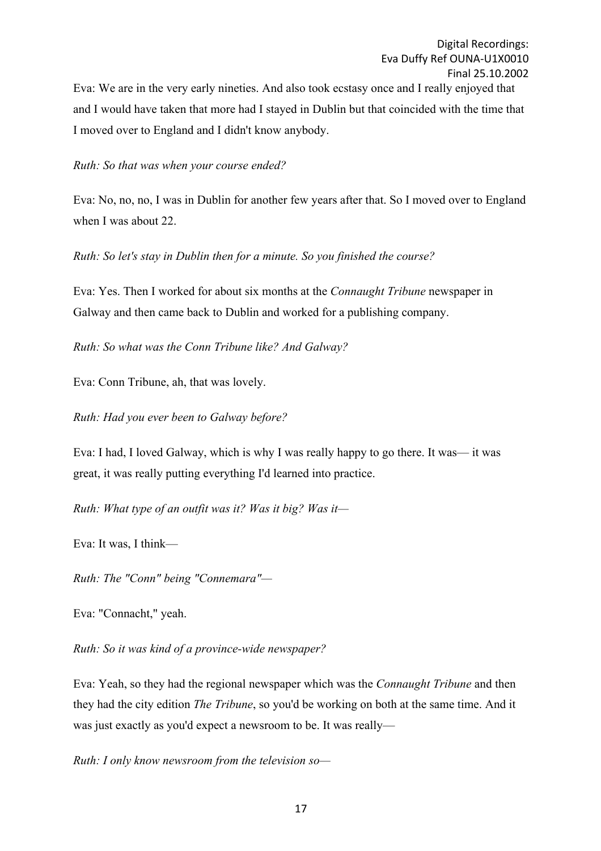Eva: We are in the very early nineties. And also took ecstasy once and I really enjoyed that and I would have taken that more had I stayed in Dublin but that coincided with the time that I moved over to England and I didn't know anybody.

*Ruth: So that was when your course ended?*

Eva: No, no, no, I was in Dublin for another few years after that. So I moved over to England when I was about 22.

*Ruth: So let's stay in Dublin then for a minute. So you finished the course?*

Eva: Yes. Then I worked for about six months at the *Connaught Tribune* newspaper in Galway and then came back to Dublin and worked for a publishing company.

*Ruth: So what was the Conn Tribune like? And Galway?*

Eva: Conn Tribune, ah, that was lovely.

*Ruth: Had you ever been to Galway before?*

Eva: I had, I loved Galway, which is why I was really happy to go there. It was— it was great, it was really putting everything I'd learned into practice.

*Ruth: What type of an outfit was it? Was it big? Was it—*

Eva: It was, I think—

*Ruth: The "Conn" being "Connemara"—*

Eva: "Connacht," yeah.

*Ruth: So it was kind of a province-wide newspaper?*

Eva: Yeah, so they had the regional newspaper which was the *Connaught Tribune* and then they had the city edition *The Tribune*, so you'd be working on both at the same time. And it was just exactly as you'd expect a newsroom to be. It was really—

*Ruth: I only know newsroom from the television so—*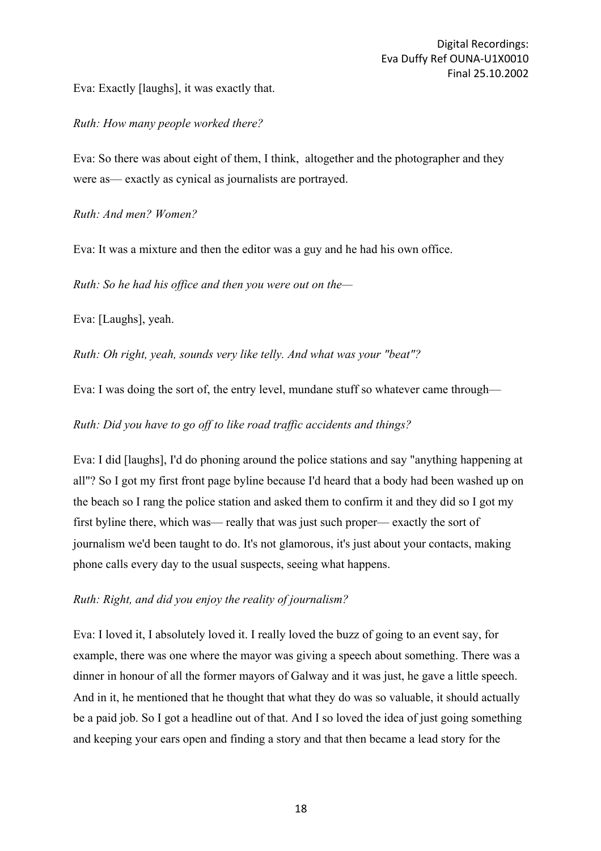Eva: Exactly [laughs], it was exactly that.

## *Ruth: How many people worked there?*

Eva: So there was about eight of them, I think, altogether and the photographer and they were as— exactly as cynical as journalists are portrayed.

*Ruth: And men? Women?*

Eva: It was a mixture and then the editor was a guy and he had his own office.

*Ruth: So he had his office and then you were out on the—*

Eva: [Laughs], yeah.

*Ruth: Oh right, yeah, sounds very like telly. And what was your "beat"?*

Eva: I was doing the sort of, the entry level, mundane stuff so whatever came through—

*Ruth: Did you have to go off to like road traffic accidents and things?*

Eva: I did [laughs], I'd do phoning around the police stations and say "anything happening at all"? So I got my first front page byline because I'd heard that a body had been washed up on the beach so I rang the police station and asked them to confirm it and they did so I got my first byline there, which was— really that was just such proper— exactly the sort of journalism we'd been taught to do. It's not glamorous, it's just about your contacts, making phone calls every day to the usual suspects, seeing what happens.

## *Ruth: Right, and did you enjoy the reality of journalism?*

Eva: I loved it, I absolutely loved it. I really loved the buzz of going to an event say, for example, there was one where the mayor was giving a speech about something. There was a dinner in honour of all the former mayors of Galway and it was just, he gave a little speech. And in it, he mentioned that he thought that what they do was so valuable, it should actually be a paid job. So I got a headline out of that. And I so loved the idea of just going something and keeping your ears open and finding a story and that then became a lead story for the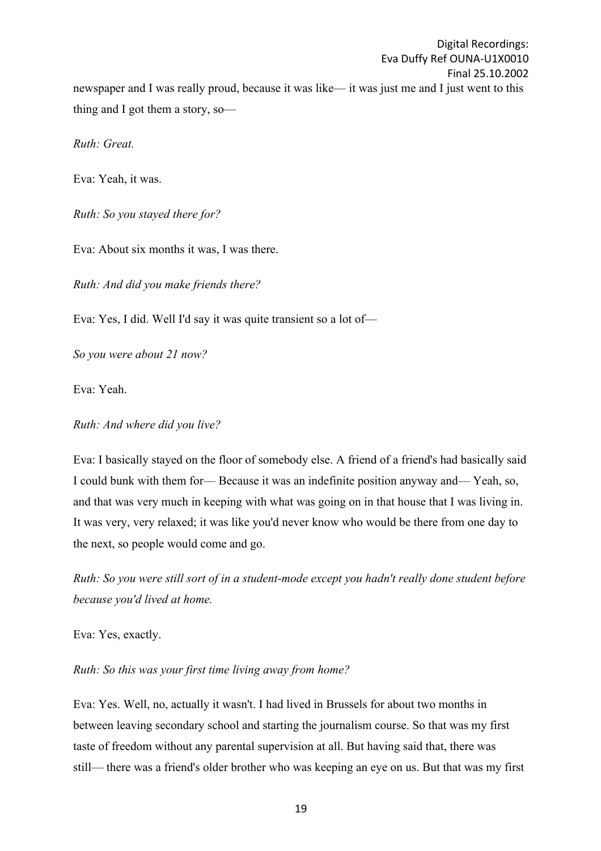Digital Recordings: Eva Duffy Ref OUNA-U1X0010 Final 25.10.2002 newspaper and I was really proud, because it was like— it was just me and I just went to this thing and I got them a story, so—

*Ruth: Great.*

Eva: Yeah, it was.

*Ruth: So you stayed there for?*

Eva: About six months it was, I was there.

*Ruth: And did you make friends there?*

Eva: Yes, I did. Well I'd say it was quite transient so a lot of—

*So you were about 21 now?*

Eva: Yeah.

*Ruth: And where did you live?*

Eva: I basically stayed on the floor of somebody else. A friend of a friend's had basically said I could bunk with them for— Because it was an indefinite position anyway and— Yeah, so, and that was very much in keeping with what was going on in that house that I was living in. It was very, very relaxed; it was like you'd never know who would be there from one day to the next, so people would come and go.

*Ruth: So you were still sort of in a student-mode except you hadn't really done student before because you'd lived at home.*

Eva: Yes, exactly.

*Ruth: So this was your first time living away from home?*

Eva: Yes. Well, no, actually it wasn't. I had lived in Brussels for about two months in between leaving secondary school and starting the journalism course. So that was my first taste of freedom without any parental supervision at all. But having said that, there was still— there was a friend's older brother who was keeping an eye on us. But that was my first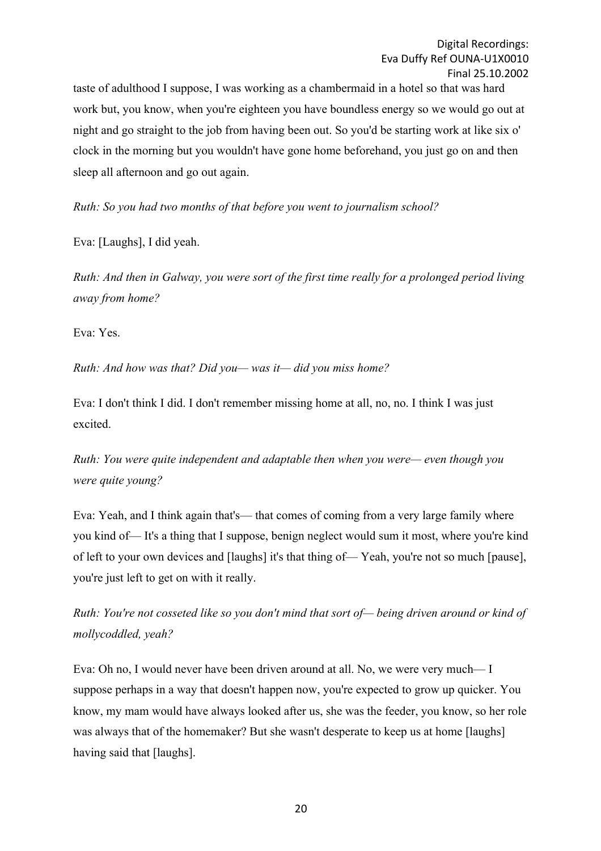taste of adulthood I suppose, I was working as a chambermaid in a hotel so that was hard work but, you know, when you're eighteen you have boundless energy so we would go out at night and go straight to the job from having been out. So you'd be starting work at like six o' clock in the morning but you wouldn't have gone home beforehand, you just go on and then sleep all afternoon and go out again.

*Ruth: So you had two months of that before you went to journalism school?*

Eva: [Laughs], I did yeah.

*Ruth: And then in Galway, you were sort of the first time really for a prolonged period living away from home?*

Eva: Yes.

*Ruth: And how was that? Did you— was it— did you miss home?*

Eva: I don't think I did. I don't remember missing home at all, no, no. I think I was just excited.

*Ruth: You were quite independent and adaptable then when you were— even though you were quite young?*

Eva: Yeah, and I think again that's— that comes of coming from a very large family where you kind of— It's a thing that I suppose, benign neglect would sum it most, where you're kind of left to your own devices and [laughs] it's that thing of— Yeah, you're not so much [pause], you're just left to get on with it really.

*Ruth: You're not cosseted like so you don't mind that sort of— being driven around or kind of mollycoddled, yeah?*

Eva: Oh no, I would never have been driven around at all. No, we were very much— I suppose perhaps in a way that doesn't happen now, you're expected to grow up quicker. You know, my mam would have always looked after us, she was the feeder, you know, so her role was always that of the homemaker? But she wasn't desperate to keep us at home [laughs] having said that [laughs].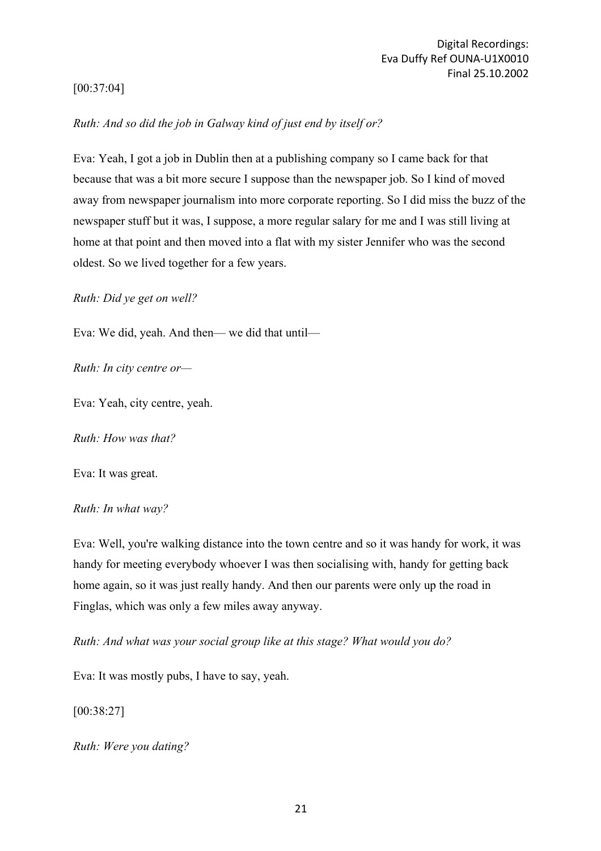## [00:37:04]

## *Ruth: And so did the job in Galway kind of just end by itself or?*

Eva: Yeah, I got a job in Dublin then at a publishing company so I came back for that because that was a bit more secure I suppose than the newspaper job. So I kind of moved away from newspaper journalism into more corporate reporting. So I did miss the buzz of the newspaper stuff but it was, I suppose, a more regular salary for me and I was still living at home at that point and then moved into a flat with my sister Jennifer who was the second oldest. So we lived together for a few years.

*Ruth: Did ye get on well?*

Eva: We did, yeah. And then— we did that until—

*Ruth: In city centre or—*

Eva: Yeah, city centre, yeah.

*Ruth: How was that?*

Eva: It was great.

### *Ruth: In what way?*

Eva: Well, you're walking distance into the town centre and so it was handy for work, it was handy for meeting everybody whoever I was then socialising with, handy for getting back home again, so it was just really handy. And then our parents were only up the road in Finglas, which was only a few miles away anyway.

*Ruth: And what was your social group like at this stage? What would you do?*

Eva: It was mostly pubs, I have to say, yeah.

[00:38:27]

*Ruth: Were you dating?*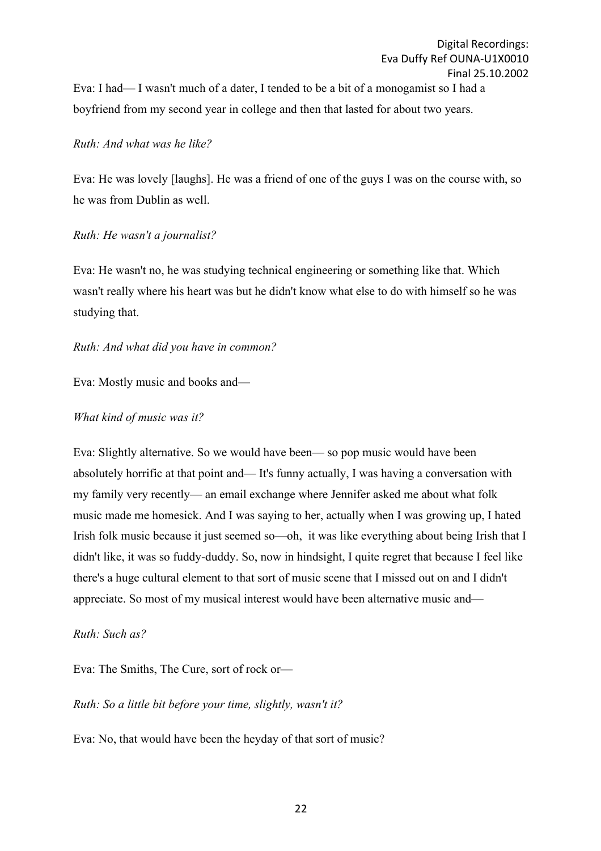Eva: I had— I wasn't much of a dater, I tended to be a bit of a monogamist so I had a boyfriend from my second year in college and then that lasted for about two years.

## *Ruth: And what was he like?*

Eva: He was lovely [laughs]. He was a friend of one of the guys I was on the course with, so he was from Dublin as well.

## *Ruth: He wasn't a journalist?*

Eva: He wasn't no, he was studying technical engineering or something like that. Which wasn't really where his heart was but he didn't know what else to do with himself so he was studying that.

## *Ruth: And what did you have in common?*

Eva: Mostly music and books and—

## *What kind of music was it?*

Eva: Slightly alternative. So we would have been— so pop music would have been absolutely horrific at that point and— It's funny actually, I was having a conversation with my family very recently— an email exchange where Jennifer asked me about what folk music made me homesick. And I was saying to her, actually when I was growing up, I hated Irish folk music because it just seemed so—oh, it was like everything about being Irish that I didn't like, it was so fuddy-duddy. So, now in hindsight, I quite regret that because I feel like there's a huge cultural element to that sort of music scene that I missed out on and I didn't appreciate. So most of my musical interest would have been alternative music and—

## *Ruth: Such as?*

Eva: The Smiths, The Cure, sort of rock or—

## *Ruth: So a little bit before your time, slightly, wasn't it?*

Eva: No, that would have been the heyday of that sort of music?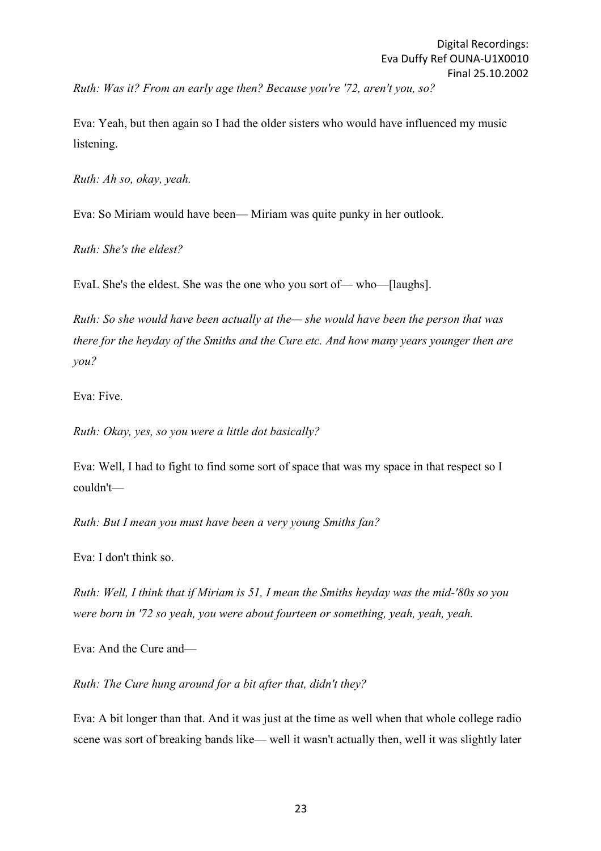Eva: Yeah, but then again so I had the older sisters who would have influenced my music listening.

*Ruth: Ah so, okay, yeah.*

Eva: So Miriam would have been— Miriam was quite punky in her outlook.

*Ruth: She's the eldest?*

EvaL She's the eldest. She was the one who you sort of— who—[laughs].

*Ruth: So she would have been actually at the— she would have been the person that was there for the heyday of the Smiths and the Cure etc. And how many years younger then are you?*

Eva: Five.

*Ruth: Okay, yes, so you were a little dot basically?*

Eva: Well, I had to fight to find some sort of space that was my space in that respect so I couldn't—

*Ruth: But I mean you must have been a very young Smiths fan?*

Eva: I don't think so.

*Ruth: Well, I think that if Miriam is 51, I mean the Smiths heyday was the mid-'80s so you were born in '72 so yeah, you were about fourteen or something, yeah, yeah, yeah.*

Eva: And the Cure and—

*Ruth: The Cure hung around for a bit after that, didn't they?*

Eva: A bit longer than that. And it was just at the time as well when that whole college radio scene was sort of breaking bands like— well it wasn't actually then, well it was slightly later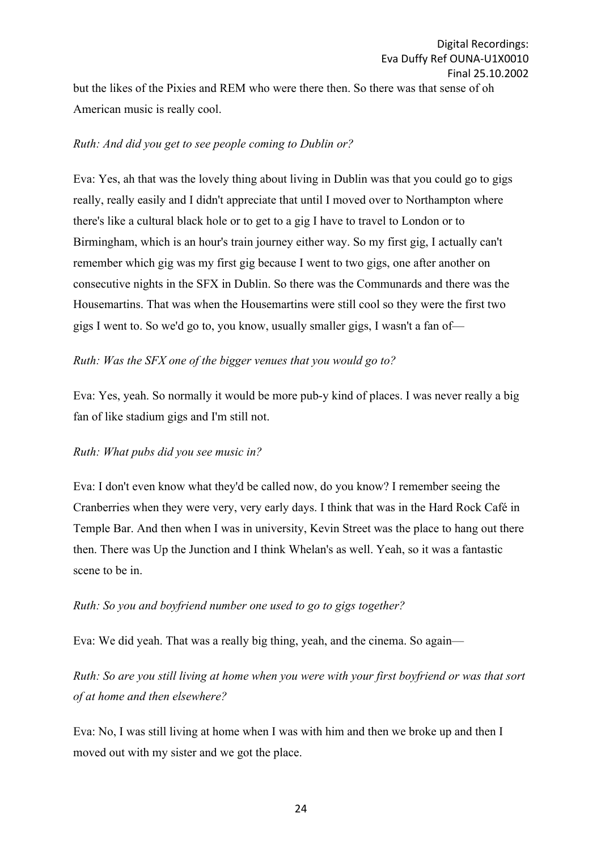but the likes of the Pixies and REM who were there then. So there was that sense of oh American music is really cool.

### *Ruth: And did you get to see people coming to Dublin or?*

Eva: Yes, ah that was the lovely thing about living in Dublin was that you could go to gigs really, really easily and I didn't appreciate that until I moved over to Northampton where there's like a cultural black hole or to get to a gig I have to travel to London or to Birmingham, which is an hour's train journey either way. So my first gig, I actually can't remember which gig was my first gig because I went to two gigs, one after another on consecutive nights in the SFX in Dublin. So there was the Communards and there was the Housemartins. That was when the Housemartins were still cool so they were the first two gigs I went to. So we'd go to, you know, usually smaller gigs, I wasn't a fan of—

## *Ruth: Was the SFX one of the bigger venues that you would go to?*

Eva: Yes, yeah. So normally it would be more pub-y kind of places. I was never really a big fan of like stadium gigs and I'm still not.

## *Ruth: What pubs did you see music in?*

Eva: I don't even know what they'd be called now, do you know? I remember seeing the Cranberries when they were very, very early days. I think that was in the Hard Rock Café in Temple Bar. And then when I was in university, Kevin Street was the place to hang out there then. There was Up the Junction and I think Whelan's as well. Yeah, so it was a fantastic scene to be in.

## *Ruth: So you and boyfriend number one used to go to gigs together?*

Eva: We did yeah. That was a really big thing, yeah, and the cinema. So again—

*Ruth: So are you still living at home when you were with your first boyfriend or was that sort of at home and then elsewhere?*

Eva: No, I was still living at home when I was with him and then we broke up and then I moved out with my sister and we got the place.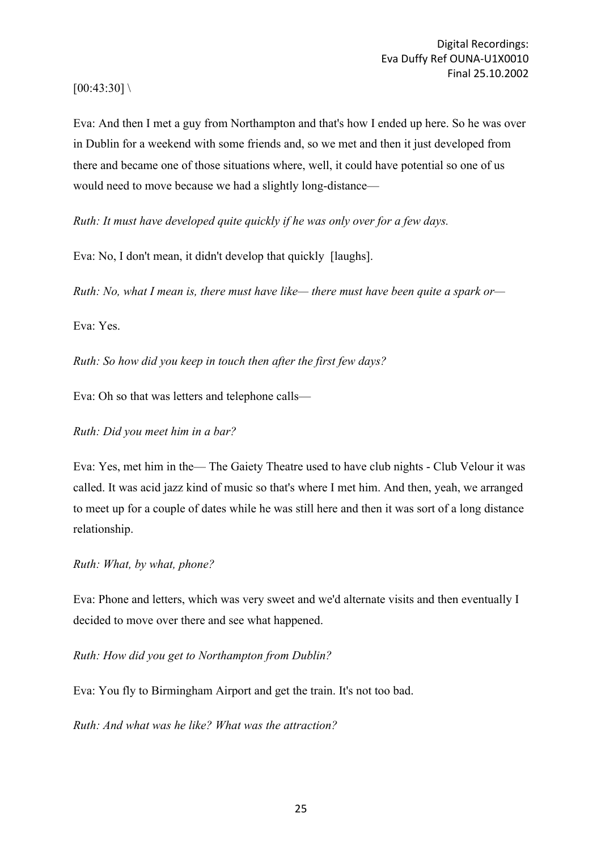### $[00:43:30] \setminus$

Eva: And then I met a guy from Northampton and that's how I ended up here. So he was over in Dublin for a weekend with some friends and, so we met and then it just developed from there and became one of those situations where, well, it could have potential so one of us would need to move because we had a slightly long-distance—

*Ruth: It must have developed quite quickly if he was only over for a few days.*

Eva: No, I don't mean, it didn't develop that quickly [laughs].

*Ruth: No, what I mean is, there must have like— there must have been quite a spark or—*

Eva: Yes.

*Ruth: So how did you keep in touch then after the first few days?*

Eva: Oh so that was letters and telephone calls—

*Ruth: Did you meet him in a bar?*

Eva: Yes, met him in the— The Gaiety Theatre used to have club nights - Club Velour it was called. It was acid jazz kind of music so that's where I met him. And then, yeah, we arranged to meet up for a couple of dates while he was still here and then it was sort of a long distance relationship.

### *Ruth: What, by what, phone?*

Eva: Phone and letters, which was very sweet and we'd alternate visits and then eventually I decided to move over there and see what happened.

*Ruth: How did you get to Northampton from Dublin?*

Eva: You fly to Birmingham Airport and get the train. It's not too bad.

*Ruth: And what was he like? What was the attraction?*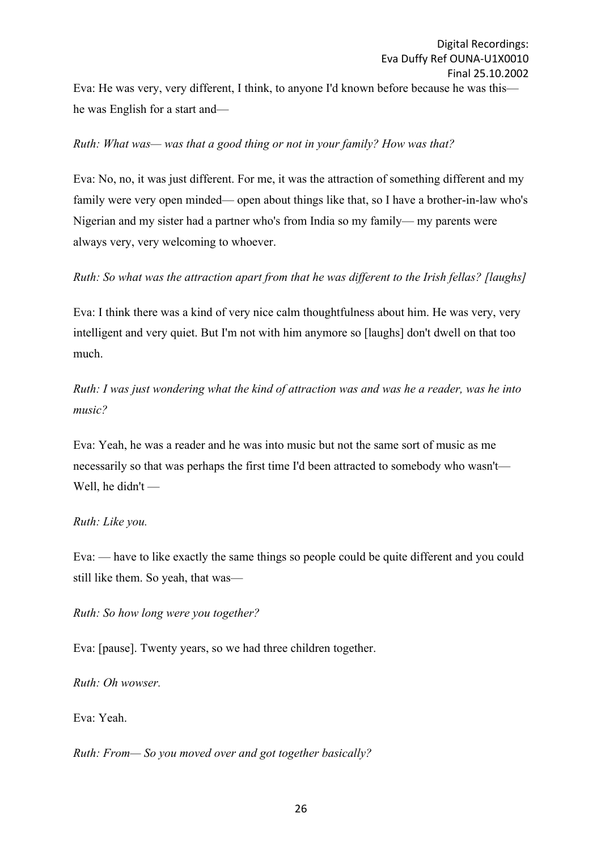Eva: He was very, very different, I think, to anyone I'd known before because he was this he was English for a start and—

## *Ruth: What was— was that a good thing or not in your family? How was that?*

Eva: No, no, it was just different. For me, it was the attraction of something different and my family were very open minded— open about things like that, so I have a brother-in-law who's Nigerian and my sister had a partner who's from India so my family— my parents were always very, very welcoming to whoever.

## *Ruth: So what was the attraction apart from that he was different to the Irish fellas? [laughs]*

Eva: I think there was a kind of very nice calm thoughtfulness about him. He was very, very intelligent and very quiet. But I'm not with him anymore so [laughs] don't dwell on that too much.

*Ruth: I was just wondering what the kind of attraction was and was he a reader, was he into music?*

Eva: Yeah, he was a reader and he was into music but not the same sort of music as me necessarily so that was perhaps the first time I'd been attracted to somebody who wasn't— Well, he didn't —

### *Ruth: Like you.*

Eva: — have to like exactly the same things so people could be quite different and you could still like them. So yeah, that was—

### *Ruth: So how long were you together?*

Eva: [pause]. Twenty years, so we had three children together.

*Ruth: Oh wowser.*

Eva: Yeah.

*Ruth: From— So you moved over and got together basically?*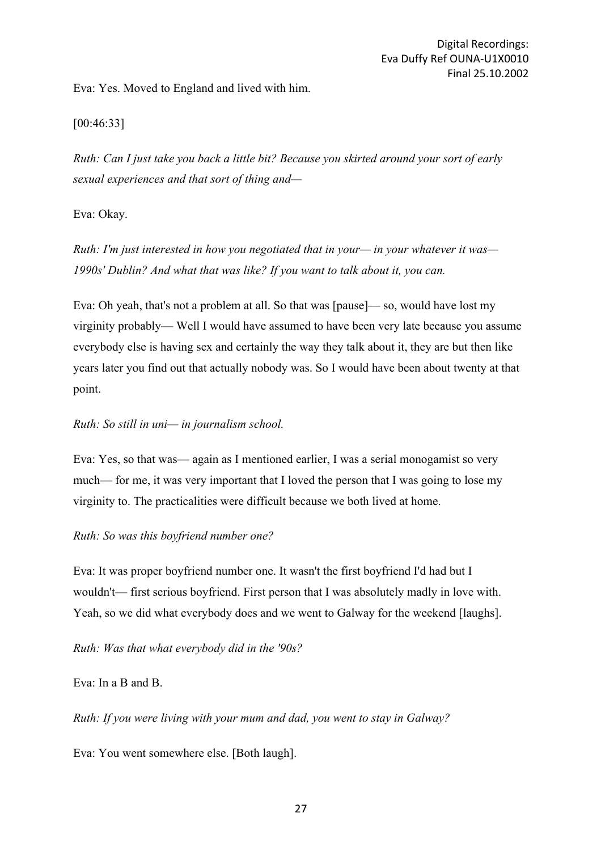Eva: Yes. Moved to England and lived with him.

## [00:46:33]

*Ruth: Can I just take you back a little bit? Because you skirted around your sort of early sexual experiences and that sort of thing and—*

Eva: Okay.

*Ruth: I'm just interested in how you negotiated that in your— in your whatever it was— 1990s' Dublin? And what that was like? If you want to talk about it, you can.*

Eva: Oh yeah, that's not a problem at all. So that was [pause]— so, would have lost my virginity probably— Well I would have assumed to have been very late because you assume everybody else is having sex and certainly the way they talk about it, they are but then like years later you find out that actually nobody was. So I would have been about twenty at that point.

## *Ruth: So still in uni— in journalism school.*

Eva: Yes, so that was— again as I mentioned earlier, I was a serial monogamist so very much— for me, it was very important that I loved the person that I was going to lose my virginity to. The practicalities were difficult because we both lived at home.

## *Ruth: So was this boyfriend number one?*

Eva: It was proper boyfriend number one. It wasn't the first boyfriend I'd had but I wouldn't— first serious boyfriend. First person that I was absolutely madly in love with. Yeah, so we did what everybody does and we went to Galway for the weekend [laughs].

*Ruth: Was that what everybody did in the '90s?*

## Eva: In a B and B.

*Ruth: If you were living with your mum and dad, you went to stay in Galway?*

Eva: You went somewhere else. [Both laugh].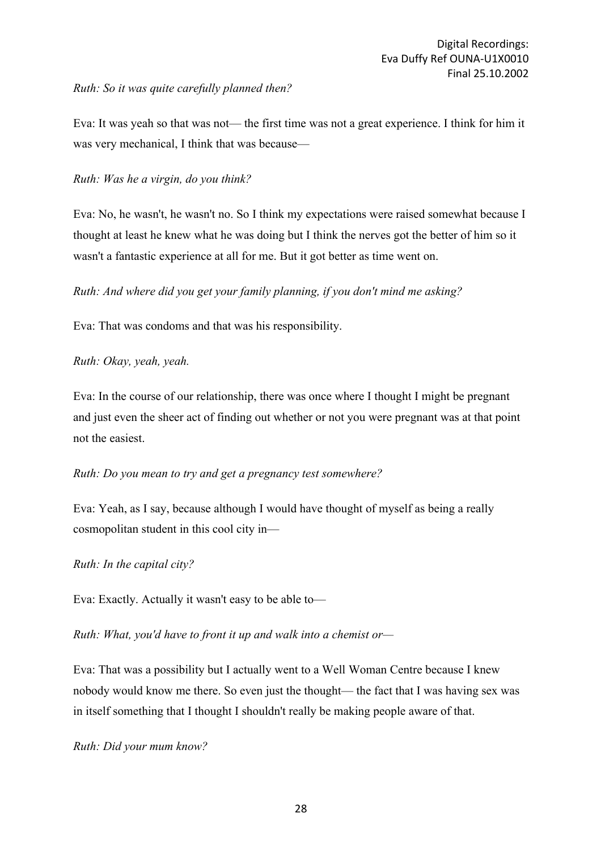### *Ruth: So it was quite carefully planned then?*

Eva: It was yeah so that was not— the first time was not a great experience. I think for him it was very mechanical, I think that was because—

### *Ruth: Was he a virgin, do you think?*

Eva: No, he wasn't, he wasn't no. So I think my expectations were raised somewhat because I thought at least he knew what he was doing but I think the nerves got the better of him so it wasn't a fantastic experience at all for me. But it got better as time went on.

*Ruth: And where did you get your family planning, if you don't mind me asking?*

Eva: That was condoms and that was his responsibility.

## *Ruth: Okay, yeah, yeah.*

Eva: In the course of our relationship, there was once where I thought I might be pregnant and just even the sheer act of finding out whether or not you were pregnant was at that point not the easiest.

### *Ruth: Do you mean to try and get a pregnancy test somewhere?*

Eva: Yeah, as I say, because although I would have thought of myself as being a really cosmopolitan student in this cool city in—

### *Ruth: In the capital city?*

Eva: Exactly. Actually it wasn't easy to be able to—

*Ruth: What, you'd have to front it up and walk into a chemist or—*

Eva: That was a possibility but I actually went to a Well Woman Centre because I knew nobody would know me there. So even just the thought— the fact that I was having sex was in itself something that I thought I shouldn't really be making people aware of that.

*Ruth: Did your mum know?*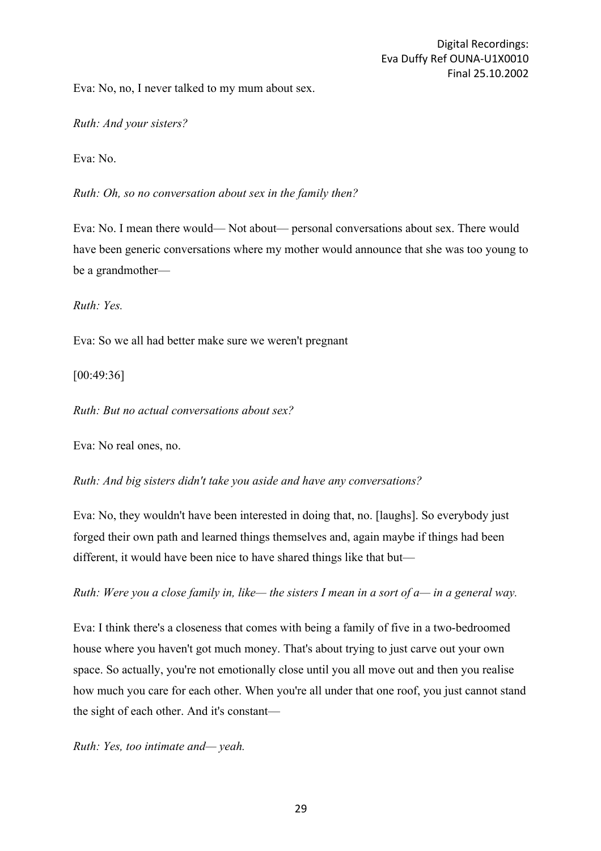Eva: No, no, I never talked to my mum about sex.

*Ruth: And your sisters?*

Eva: No.

*Ruth: Oh, so no conversation about sex in the family then?*

Eva: No. I mean there would— Not about— personal conversations about sex. There would have been generic conversations where my mother would announce that she was too young to be a grandmother—

*Ruth: Yes.*

Eva: So we all had better make sure we weren't pregnant

[00:49:36]

*Ruth: But no actual conversations about sex?*

Eva: No real ones, no.

*Ruth: And big sisters didn't take you aside and have any conversations?*

Eva: No, they wouldn't have been interested in doing that, no. [laughs]. So everybody just forged their own path and learned things themselves and, again maybe if things had been different, it would have been nice to have shared things like that but—

*Ruth: Were you a close family in, like— the sisters I mean in a sort of a— in a general way.*

Eva: I think there's a closeness that comes with being a family of five in a two-bedroomed house where you haven't got much money. That's about trying to just carve out your own space. So actually, you're not emotionally close until you all move out and then you realise how much you care for each other. When you're all under that one roof, you just cannot stand the sight of each other. And it's constant—

*Ruth: Yes, too intimate and— yeah.*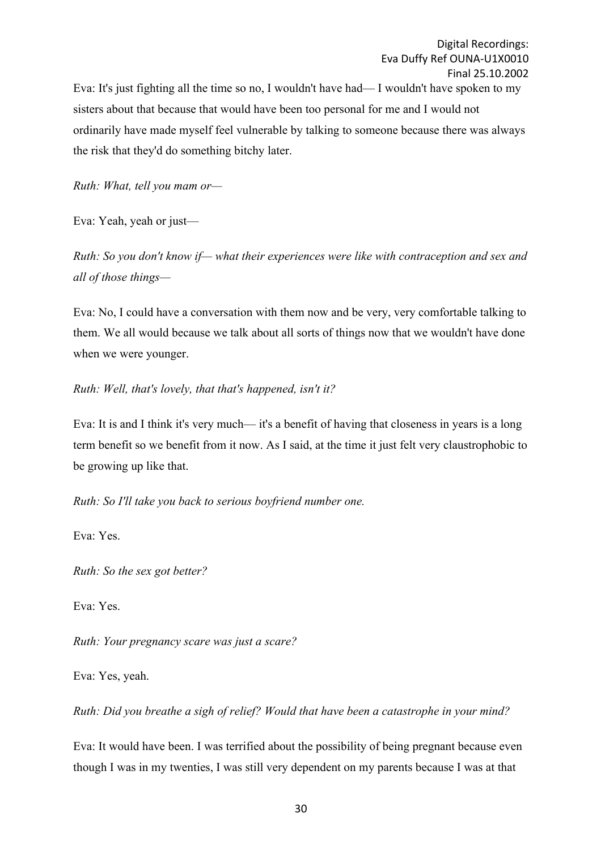Eva: It's just fighting all the time so no, I wouldn't have had— I wouldn't have spoken to my sisters about that because that would have been too personal for me and I would not ordinarily have made myself feel vulnerable by talking to someone because there was always the risk that they'd do something bitchy later.

*Ruth: What, tell you mam or—*

Eva: Yeah, yeah or just—

*Ruth: So you don't know if— what their experiences were like with contraception and sex and all of those things—*

Eva: No, I could have a conversation with them now and be very, very comfortable talking to them. We all would because we talk about all sorts of things now that we wouldn't have done when we were younger.

## *Ruth: Well, that's lovely, that that's happened, isn't it?*

Eva: It is and I think it's very much— it's a benefit of having that closeness in years is a long term benefit so we benefit from it now. As I said, at the time it just felt very claustrophobic to be growing up like that.

*Ruth: So I'll take you back to serious boyfriend number one.*

Eva: Yes.

*Ruth: So the sex got better?*

Eva: Yes.

*Ruth: Your pregnancy scare was just a scare?*

Eva: Yes, yeah.

*Ruth: Did you breathe a sigh of relief? Would that have been a catastrophe in your mind?*

Eva: It would have been. I was terrified about the possibility of being pregnant because even though I was in my twenties, I was still very dependent on my parents because I was at that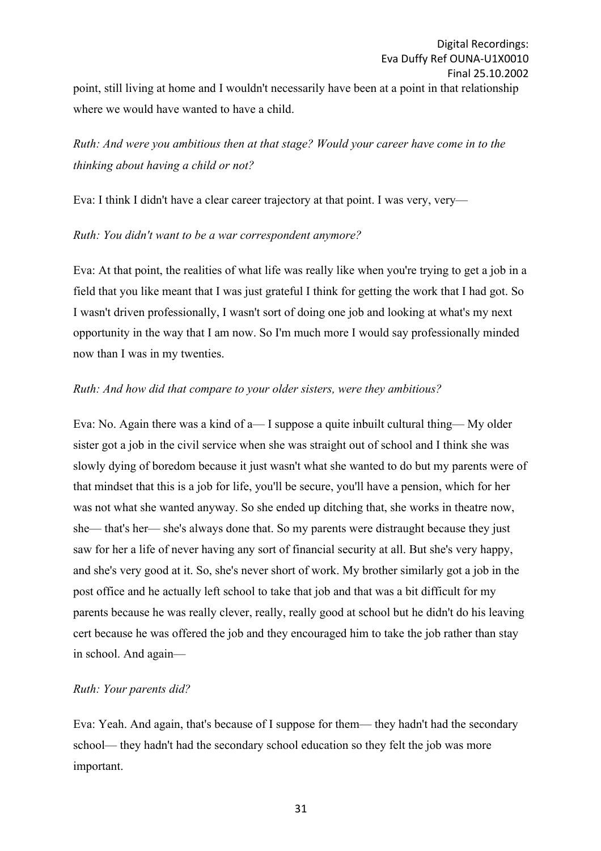# *Ruth: And were you ambitious then at that stage? Would your career have come in to the thinking about having a child or not?*

Eva: I think I didn't have a clear career trajectory at that point. I was very, very—

## *Ruth: You didn't want to be a war correspondent anymore?*

Eva: At that point, the realities of what life was really like when you're trying to get a job in a field that you like meant that I was just grateful I think for getting the work that I had got. So I wasn't driven professionally, I wasn't sort of doing one job and looking at what's my next opportunity in the way that I am now. So I'm much more I would say professionally minded now than I was in my twenties.

## *Ruth: And how did that compare to your older sisters, were they ambitious?*

Eva: No. Again there was a kind of a— I suppose a quite inbuilt cultural thing— My older sister got a job in the civil service when she was straight out of school and I think she was slowly dying of boredom because it just wasn't what she wanted to do but my parents were of that mindset that this is a job for life, you'll be secure, you'll have a pension, which for her was not what she wanted anyway. So she ended up ditching that, she works in theatre now, she— that's her— she's always done that. So my parents were distraught because they just saw for her a life of never having any sort of financial security at all. But she's very happy, and she's very good at it. So, she's never short of work. My brother similarly got a job in the post office and he actually left school to take that job and that was a bit difficult for my parents because he was really clever, really, really good at school but he didn't do his leaving cert because he was offered the job and they encouraged him to take the job rather than stay in school. And again—

## *Ruth: Your parents did?*

Eva: Yeah. And again, that's because of I suppose for them— they hadn't had the secondary school— they hadn't had the secondary school education so they felt the job was more important.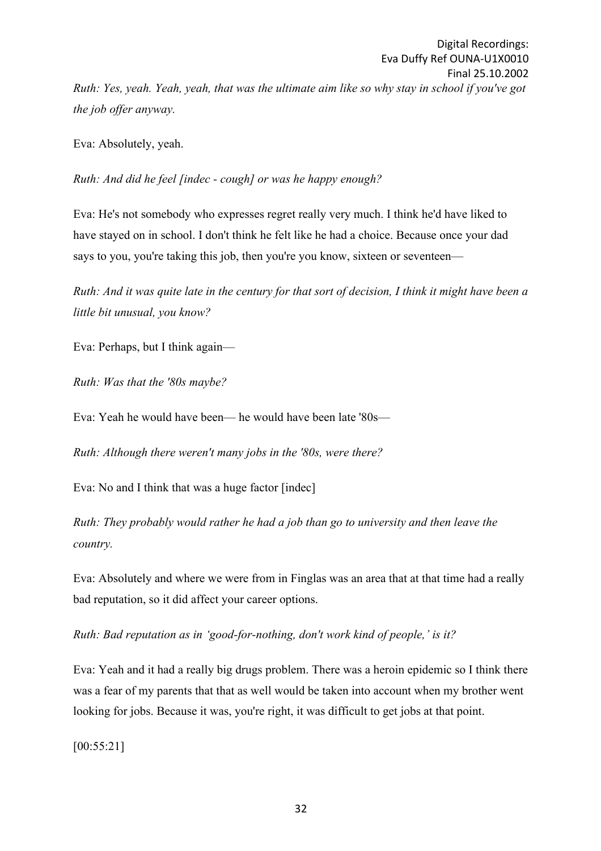Eva: Absolutely, yeah.

*the job offer anyway.*

*Ruth: And did he feel [indec - cough] or was he happy enough?*

Eva: He's not somebody who expresses regret really very much. I think he'd have liked to have stayed on in school. I don't think he felt like he had a choice. Because once your dad says to you, you're taking this job, then you're you know, sixteen or seventeen—

*Ruth: And it was quite late in the century for that sort of decision, I think it might have been a little bit unusual, you know?*

Eva: Perhaps, but I think again—

*Ruth: Was that the '80s maybe?*

Eva: Yeah he would have been— he would have been late '80s—

*Ruth: Although there weren't many jobs in the '80s, were there?*

Eva: No and I think that was a huge factor [indec]

*Ruth: They probably would rather he had a job than go to university and then leave the country.*

Eva: Absolutely and where we were from in Finglas was an area that at that time had a really bad reputation, so it did affect your career options.

*Ruth: Bad reputation as in 'good-for-nothing, don't work kind of people,' is it?*

Eva: Yeah and it had a really big drugs problem. There was a heroin epidemic so I think there was a fear of my parents that that as well would be taken into account when my brother went looking for jobs. Because it was, you're right, it was difficult to get jobs at that point.

[00:55:21]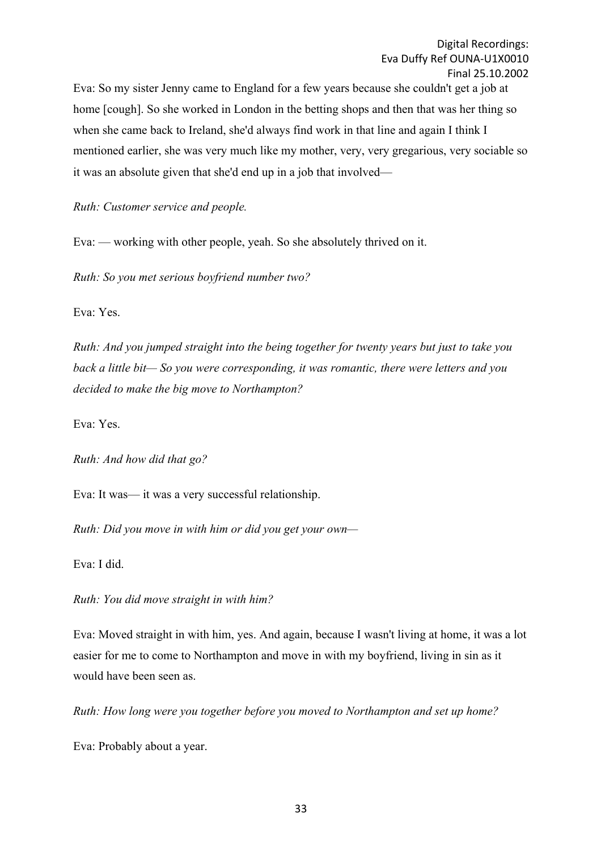Eva: So my sister Jenny came to England for a few years because she couldn't get a job at home [cough]. So she worked in London in the betting shops and then that was her thing so when she came back to Ireland, she'd always find work in that line and again I think I mentioned earlier, she was very much like my mother, very, very gregarious, very sociable so it was an absolute given that she'd end up in a job that involved—

*Ruth: Customer service and people.*

Eva: — working with other people, yeah. So she absolutely thrived on it.

*Ruth: So you met serious boyfriend number two?*

Eva: Yes.

*Ruth: And you jumped straight into the being together for twenty years but just to take you back a little bit— So you were corresponding, it was romantic, there were letters and you decided to make the big move to Northampton?*

Eva: Yes.

*Ruth: And how did that go?*

Eva: It was— it was a very successful relationship.

*Ruth: Did you move in with him or did you get your own—*

Eva: I did.

*Ruth: You did move straight in with him?*

Eva: Moved straight in with him, yes. And again, because I wasn't living at home, it was a lot easier for me to come to Northampton and move in with my boyfriend, living in sin as it would have been seen as.

*Ruth: How long were you together before you moved to Northampton and set up home?*

Eva: Probably about a year.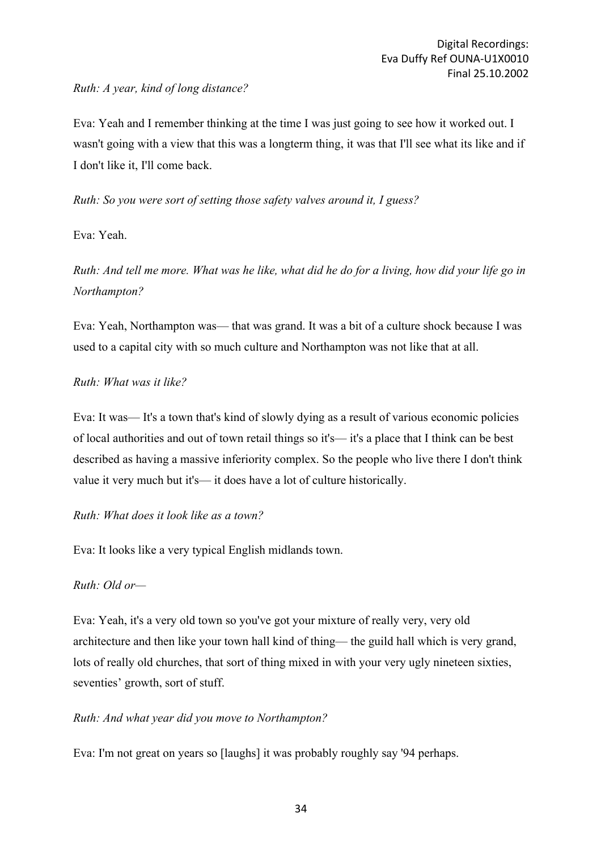## *Ruth: A year, kind of long distance?*

Eva: Yeah and I remember thinking at the time I was just going to see how it worked out. I wasn't going with a view that this was a longterm thing, it was that I'll see what its like and if I don't like it, I'll come back.

*Ruth: So you were sort of setting those safety valves around it, I guess?*

## Eva: Yeah.

*Ruth: And tell me more. What was he like, what did he do for a living, how did your life go in Northampton?*

Eva: Yeah, Northampton was— that was grand. It was a bit of a culture shock because I was used to a capital city with so much culture and Northampton was not like that at all.

## *Ruth: What was it like?*

Eva: It was— It's a town that's kind of slowly dying as a result of various economic policies of local authorities and out of town retail things so it's— it's a place that I think can be best described as having a massive inferiority complex. So the people who live there I don't think value it very much but it's— it does have a lot of culture historically.

## *Ruth: What does it look like as a town?*

Eva: It looks like a very typical English midlands town.

## *Ruth: Old or—*

Eva: Yeah, it's a very old town so you've got your mixture of really very, very old architecture and then like your town hall kind of thing— the guild hall which is very grand, lots of really old churches, that sort of thing mixed in with your very ugly nineteen sixties, seventies' growth, sort of stuff.

## *Ruth: And what year did you move to Northampton?*

Eva: I'm not great on years so [laughs] it was probably roughly say '94 perhaps.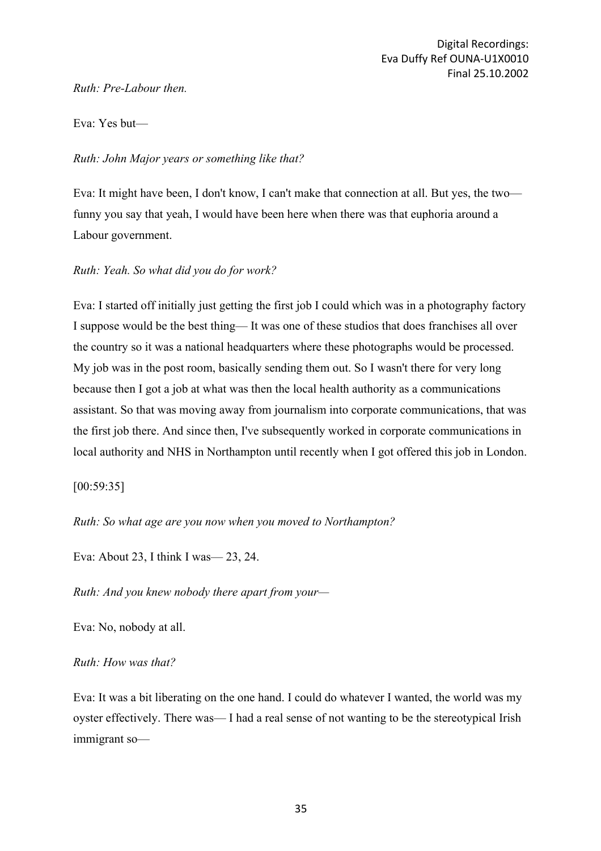*Ruth: Pre-Labour then.*

Eva: Yes but—

## *Ruth: John Major years or something like that?*

Eva: It might have been, I don't know, I can't make that connection at all. But yes, the two funny you say that yeah, I would have been here when there was that euphoria around a Labour government.

## *Ruth: Yeah. So what did you do for work?*

Eva: I started off initially just getting the first job I could which was in a photography factory I suppose would be the best thing— It was one of these studios that does franchises all over the country so it was a national headquarters where these photographs would be processed. My job was in the post room, basically sending them out. So I wasn't there for very long because then I got a job at what was then the local health authority as a communications assistant. So that was moving away from journalism into corporate communications, that was the first job there. And since then, I've subsequently worked in corporate communications in local authority and NHS in Northampton until recently when I got offered this job in London.

### [00:59:35]

*Ruth: So what age are you now when you moved to Northampton?*

Eva: About 23, I think I was— 23, 24.

*Ruth: And you knew nobody there apart from your—*

Eva: No, nobody at all.

### *Ruth: How was that?*

Eva: It was a bit liberating on the one hand. I could do whatever I wanted, the world was my oyster effectively. There was— I had a real sense of not wanting to be the stereotypical Irish immigrant so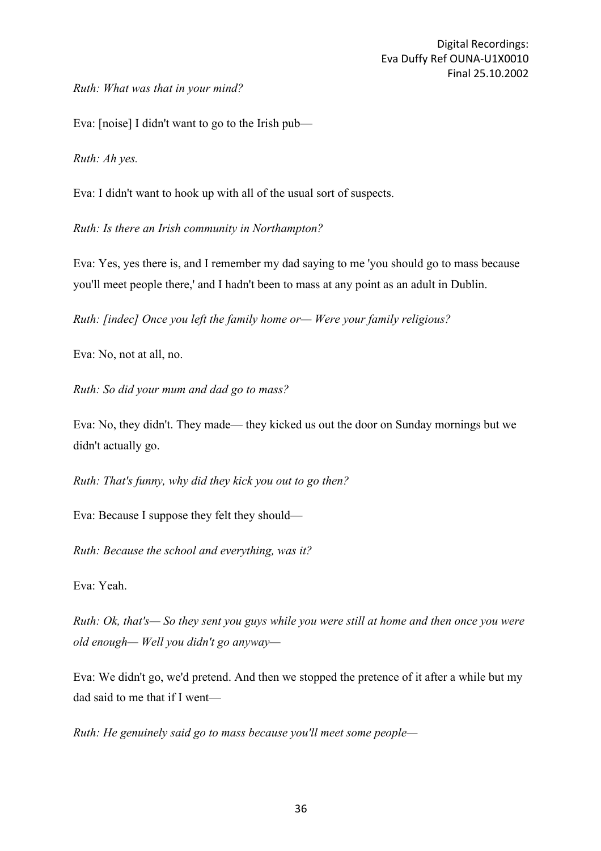*Ruth: What was that in your mind?*

Eva: [noise] I didn't want to go to the Irish pub—

*Ruth: Ah yes.*

Eva: I didn't want to hook up with all of the usual sort of suspects.

*Ruth: Is there an Irish community in Northampton?*

Eva: Yes, yes there is, and I remember my dad saying to me 'you should go to mass because you'll meet people there,' and I hadn't been to mass at any point as an adult in Dublin.

*Ruth: [indec] Once you left the family home or— Were your family religious?*

Eva: No, not at all, no.

*Ruth: So did your mum and dad go to mass?*

Eva: No, they didn't. They made— they kicked us out the door on Sunday mornings but we didn't actually go.

*Ruth: That's funny, why did they kick you out to go then?*

Eva: Because I suppose they felt they should—

*Ruth: Because the school and everything, was it?*

Eva: Yeah.

*Ruth: Ok, that's— So they sent you guys while you were still at home and then once you were old enough— Well you didn't go anyway—*

Eva: We didn't go, we'd pretend. And then we stopped the pretence of it after a while but my dad said to me that if I went—

*Ruth: He genuinely said go to mass because you'll meet some people—*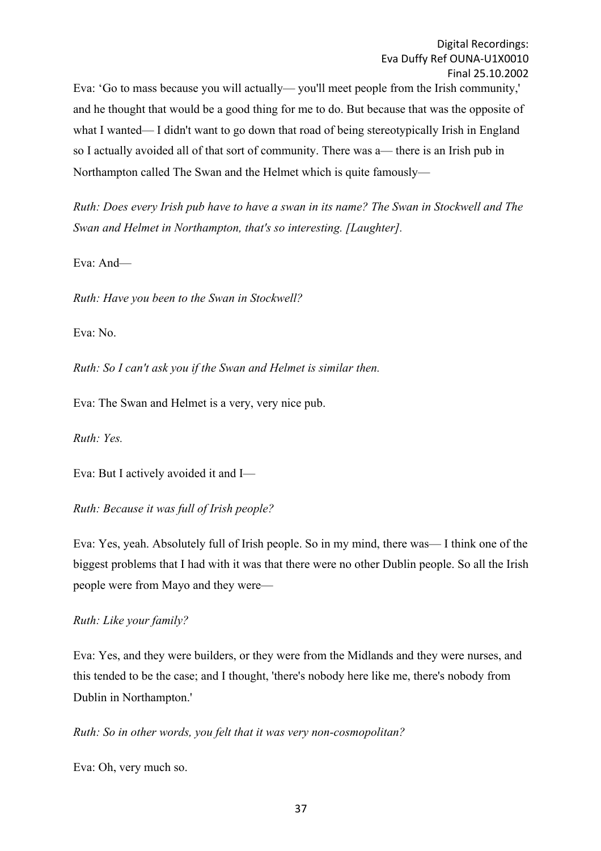Eva: 'Go to mass because you will actually— you'll meet people from the Irish community,' and he thought that would be a good thing for me to do. But because that was the opposite of what I wanted— I didn't want to go down that road of being stereotypically Irish in England so I actually avoided all of that sort of community. There was a— there is an Irish pub in Northampton called The Swan and the Helmet which is quite famously—

*Ruth: Does every Irish pub have to have a swan in its name? The Swan in Stockwell and The Swan and Helmet in Northampton, that's so interesting. [Laughter].*

Eva: And—

*Ruth: Have you been to the Swan in Stockwell?*

Eva: No.

*Ruth: So I can't ask you if the Swan and Helmet is similar then.*

Eva: The Swan and Helmet is a very, very nice pub.

*Ruth: Yes.*

Eva: But I actively avoided it and I—

*Ruth: Because it was full of Irish people?*

Eva: Yes, yeah. Absolutely full of Irish people. So in my mind, there was— I think one of the biggest problems that I had with it was that there were no other Dublin people. So all the Irish people were from Mayo and they were—

*Ruth: Like your family?*

Eva: Yes, and they were builders, or they were from the Midlands and they were nurses, and this tended to be the case; and I thought, 'there's nobody here like me, there's nobody from Dublin in Northampton.'

*Ruth: So in other words, you felt that it was very non-cosmopolitan?*

Eva: Oh, very much so.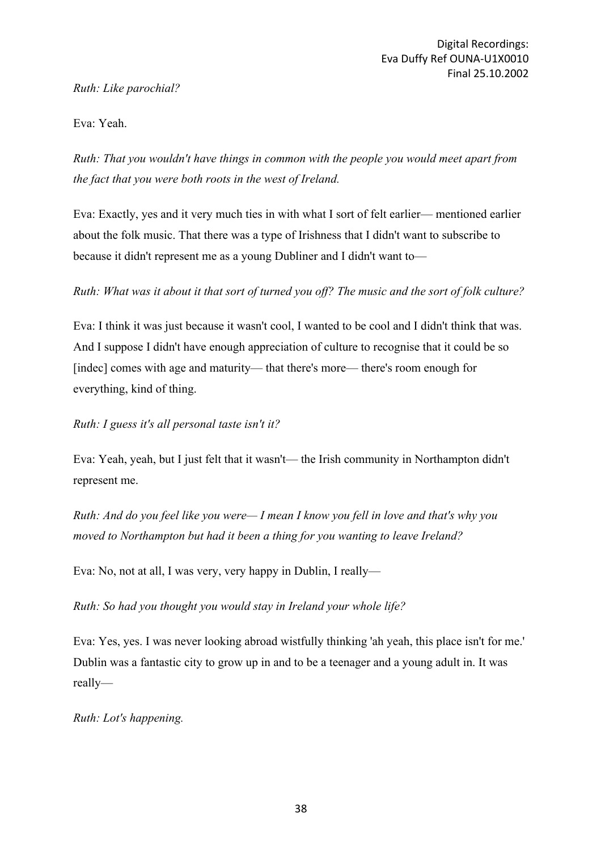## *Ruth: Like parochial?*

## Eva: Yeah.

*Ruth: That you wouldn't have things in common with the people you would meet apart from the fact that you were both roots in the west of Ireland.*

Eva: Exactly, yes and it very much ties in with what I sort of felt earlier— mentioned earlier about the folk music. That there was a type of Irishness that I didn't want to subscribe to because it didn't represent me as a young Dubliner and I didn't want to—

*Ruth: What was it about it that sort of turned you off? The music and the sort of folk culture?*

Eva: I think it was just because it wasn't cool, I wanted to be cool and I didn't think that was. And I suppose I didn't have enough appreciation of culture to recognise that it could be so [indec] comes with age and maturity— that there's more— there's room enough for everything, kind of thing.

*Ruth: I guess it's all personal taste isn't it?*

Eva: Yeah, yeah, but I just felt that it wasn't— the Irish community in Northampton didn't represent me.

*Ruth: And do you feel like you were— I mean I know you fell in love and that's why you moved to Northampton but had it been a thing for you wanting to leave Ireland?*

Eva: No, not at all, I was very, very happy in Dublin, I really—

*Ruth: So had you thought you would stay in Ireland your whole life?*

Eva: Yes, yes. I was never looking abroad wistfully thinking 'ah yeah, this place isn't for me.' Dublin was a fantastic city to grow up in and to be a teenager and a young adult in. It was really—

*Ruth: Lot's happening.*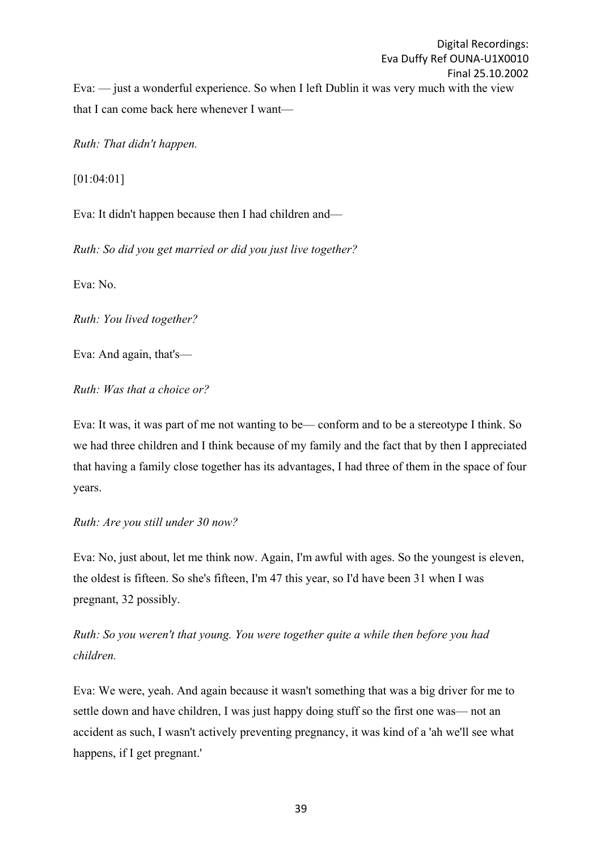Digital Recordings: Eva Duffy Ref OUNA-U1X0010 Final 25.10.2002 Eva: — just a wonderful experience. So when I left Dublin it was very much with the view that I can come back here whenever I want—

*Ruth: That didn't happen.*

[01:04:01]

Eva: It didn't happen because then I had children and—

*Ruth: So did you get married or did you just live together?*

Eva: No.

*Ruth: You lived together?*

Eva: And again, that's—

*Ruth: Was that a choice or?*

Eva: It was, it was part of me not wanting to be— conform and to be a stereotype I think. So we had three children and I think because of my family and the fact that by then I appreciated that having a family close together has its advantages, I had three of them in the space of four years.

### *Ruth: Are you still under 30 now?*

Eva: No, just about, let me think now. Again, I'm awful with ages. So the youngest is eleven, the oldest is fifteen. So she's fifteen, I'm 47 this year, so I'd have been 31 when I was pregnant, 32 possibly.

*Ruth: So you weren't that young. You were together quite a while then before you had children.*

Eva: We were, yeah. And again because it wasn't something that was a big driver for me to settle down and have children, I was just happy doing stuff so the first one was— not an accident as such, I wasn't actively preventing pregnancy, it was kind of a 'ah we'll see what happens, if I get pregnant.'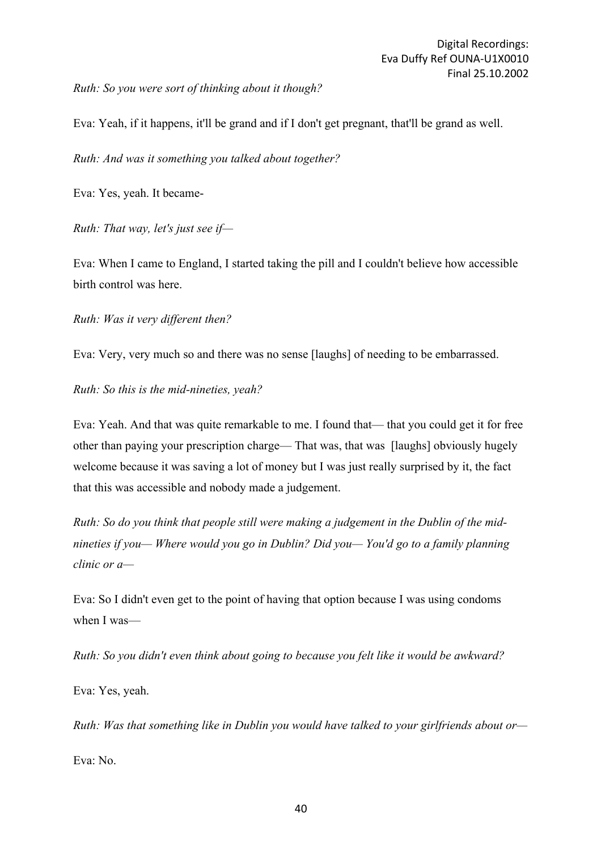*Ruth: So you were sort of thinking about it though?*

Eva: Yeah, if it happens, it'll be grand and if I don't get pregnant, that'll be grand as well.

*Ruth: And was it something you talked about together?*

Eva: Yes, yeah. It became-

*Ruth: That way, let's just see if—*

Eva: When I came to England, I started taking the pill and I couldn't believe how accessible birth control was here.

*Ruth: Was it very different then?*

Eva: Very, very much so and there was no sense [laughs] of needing to be embarrassed.

*Ruth: So this is the mid-nineties, yeah?*

Eva: Yeah. And that was quite remarkable to me. I found that— that you could get it for free other than paying your prescription charge— That was, that was [laughs] obviously hugely welcome because it was saving a lot of money but I was just really surprised by it, the fact that this was accessible and nobody made a judgement.

*Ruth: So do you think that people still were making a judgement in the Dublin of the midnineties if you— Where would you go in Dublin? Did you— You'd go to a family planning clinic or a—*

Eva: So I didn't even get to the point of having that option because I was using condoms when I was—

*Ruth: So you didn't even think about going to because you felt like it would be awkward?*

Eva: Yes, yeah.

*Ruth: Was that something like in Dublin you would have talked to your girlfriends about or—*

Eva: No.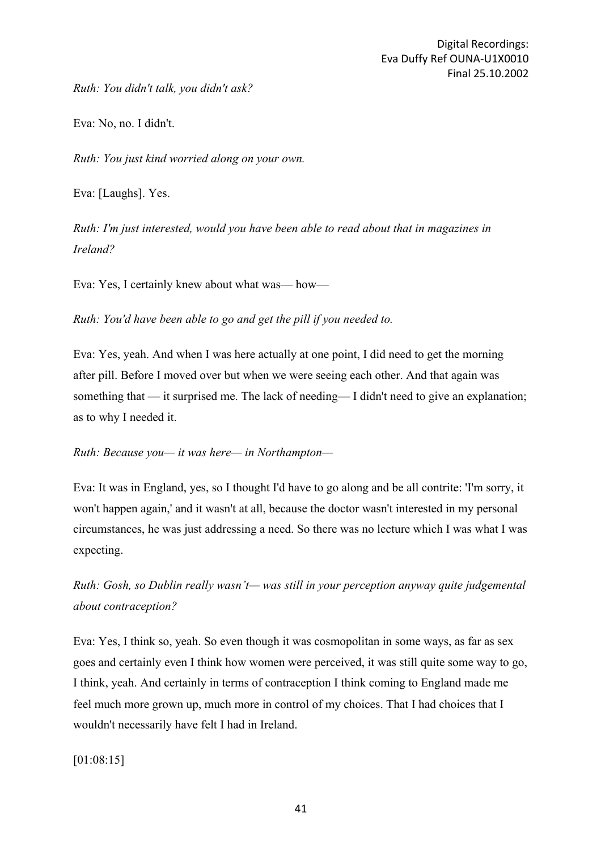*Ruth: You didn't talk, you didn't ask?*

Eva: No, no. I didn't.

*Ruth: You just kind worried along on your own.*

Eva: [Laughs]. Yes.

*Ruth: I'm just interested, would you have been able to read about that in magazines in Ireland?*

Eva: Yes, I certainly knew about what was— how—

*Ruth: You'd have been able to go and get the pill if you needed to.*

Eva: Yes, yeah. And when I was here actually at one point, I did need to get the morning after pill. Before I moved over but when we were seeing each other. And that again was something that — it surprised me. The lack of needing— I didn't need to give an explanation; as to why I needed it.

### *Ruth: Because you— it was here— in Northampton—*

Eva: It was in England, yes, so I thought I'd have to go along and be all contrite: 'I'm sorry, it won't happen again,' and it wasn't at all, because the doctor wasn't interested in my personal circumstances, he was just addressing a need. So there was no lecture which I was what I was expecting.

*Ruth: Gosh, so Dublin really wasn't— was still in your perception anyway quite judgemental about contraception?*

Eva: Yes, I think so, yeah. So even though it was cosmopolitan in some ways, as far as sex goes and certainly even I think how women were perceived, it was still quite some way to go, I think, yeah. And certainly in terms of contraception I think coming to England made me feel much more grown up, much more in control of my choices. That I had choices that I wouldn't necessarily have felt I had in Ireland.

[01:08:15]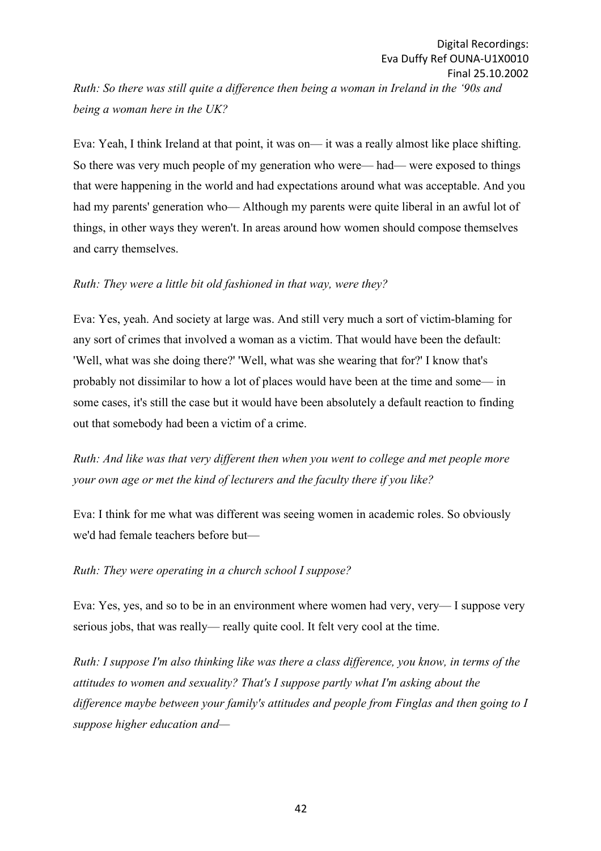*Ruth: So there was still quite a difference then being a woman in Ireland in the '90s and being a woman here in the UK?*

Eva: Yeah, I think Ireland at that point, it was on— it was a really almost like place shifting. So there was very much people of my generation who were— had— were exposed to things that were happening in the world and had expectations around what was acceptable. And you had my parents' generation who— Although my parents were quite liberal in an awful lot of things, in other ways they weren't. In areas around how women should compose themselves and carry themselves.

### *Ruth: They were a little bit old fashioned in that way, were they?*

Eva: Yes, yeah. And society at large was. And still very much a sort of victim-blaming for any sort of crimes that involved a woman as a victim. That would have been the default: 'Well, what was she doing there?' 'Well, what was she wearing that for?' I know that's probably not dissimilar to how a lot of places would have been at the time and some— in some cases, it's still the case but it would have been absolutely a default reaction to finding out that somebody had been a victim of a crime.

*Ruth: And like was that very different then when you went to college and met people more your own age or met the kind of lecturers and the faculty there if you like?*

Eva: I think for me what was different was seeing women in academic roles. So obviously we'd had female teachers before but—

### *Ruth: They were operating in a church school I suppose?*

Eva: Yes, yes, and so to be in an environment where women had very, very— I suppose very serious jobs, that was really— really quite cool. It felt very cool at the time.

*Ruth: I suppose I'm also thinking like was there a class difference, you know, in terms of the attitudes to women and sexuality? That's I suppose partly what I'm asking about the difference maybe between your family's attitudes and people from Finglas and then going to I suppose higher education and—*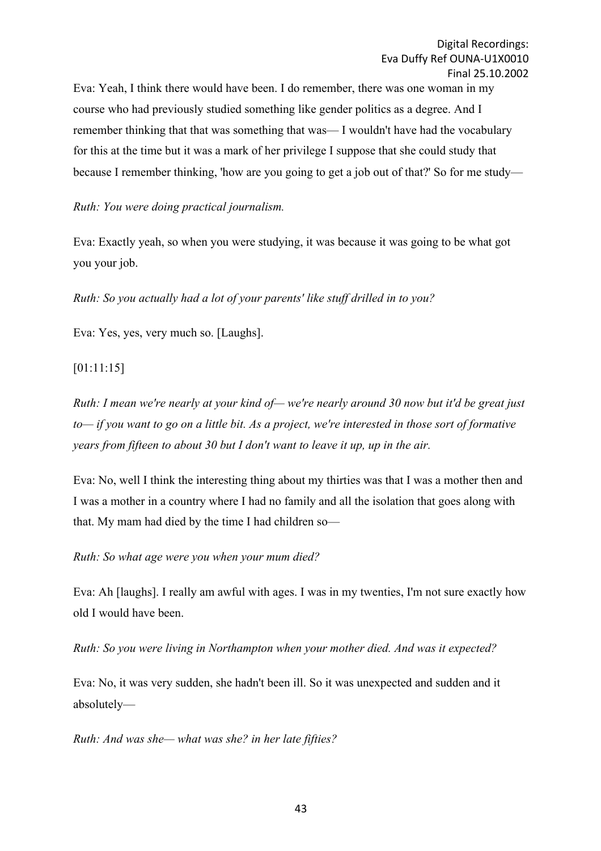Eva: Yeah, I think there would have been. I do remember, there was one woman in my course who had previously studied something like gender politics as a degree. And I remember thinking that that was something that was— I wouldn't have had the vocabulary for this at the time but it was a mark of her privilege I suppose that she could study that because I remember thinking, 'how are you going to get a job out of that?' So for me study—

*Ruth: You were doing practical journalism.*

Eva: Exactly yeah, so when you were studying, it was because it was going to be what got you your job.

*Ruth: So you actually had a lot of your parents' like stuff drilled in to you?*

Eva: Yes, yes, very much so. [Laughs].

[01:11:15]

*Ruth: I mean we're nearly at your kind of— we're nearly around 30 now but it'd be great just to— if you want to go on a little bit. As a project, we're interested in those sort of formative years from fifteen to about 30 but I don't want to leave it up, up in the air.*

Eva: No, well I think the interesting thing about my thirties was that I was a mother then and I was a mother in a country where I had no family and all the isolation that goes along with that. My mam had died by the time I had children so—

*Ruth: So what age were you when your mum died?*

Eva: Ah [laughs]. I really am awful with ages. I was in my twenties, I'm not sure exactly how old I would have been.

*Ruth: So you were living in Northampton when your mother died. And was it expected?*

Eva: No, it was very sudden, she hadn't been ill. So it was unexpected and sudden and it absolutely—

*Ruth: And was she— what was she? in her late fifties?*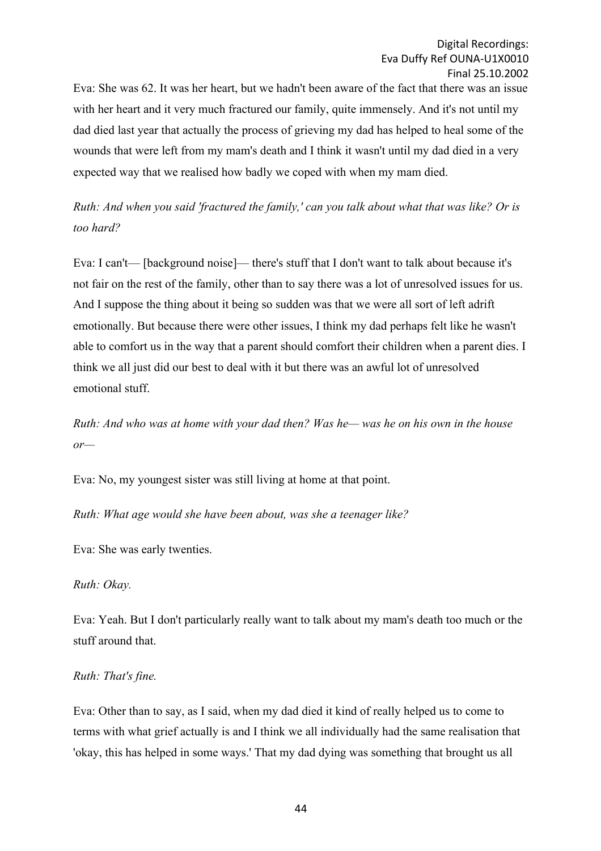Eva: She was 62. It was her heart, but we hadn't been aware of the fact that there was an issue with her heart and it very much fractured our family, quite immensely. And it's not until my dad died last year that actually the process of grieving my dad has helped to heal some of the wounds that were left from my mam's death and I think it wasn't until my dad died in a very expected way that we realised how badly we coped with when my mam died.

*Ruth: And when you said 'fractured the family,' can you talk about what that was like? Or is too hard?*

Eva: I can't— [background noise]— there's stuff that I don't want to talk about because it's not fair on the rest of the family, other than to say there was a lot of unresolved issues for us. And I suppose the thing about it being so sudden was that we were all sort of left adrift emotionally. But because there were other issues, I think my dad perhaps felt like he wasn't able to comfort us in the way that a parent should comfort their children when a parent dies. I think we all just did our best to deal with it but there was an awful lot of unresolved emotional stuff.

*Ruth: And who was at home with your dad then? Was he— was he on his own in the house or—*

Eva: No, my youngest sister was still living at home at that point.

*Ruth: What age would she have been about, was she a teenager like?*

Eva: She was early twenties.

*Ruth: Okay.*

Eva: Yeah. But I don't particularly really want to talk about my mam's death too much or the stuff around that.

### *Ruth: That's fine.*

Eva: Other than to say, as I said, when my dad died it kind of really helped us to come to terms with what grief actually is and I think we all individually had the same realisation that 'okay, this has helped in some ways.' That my dad dying was something that brought us all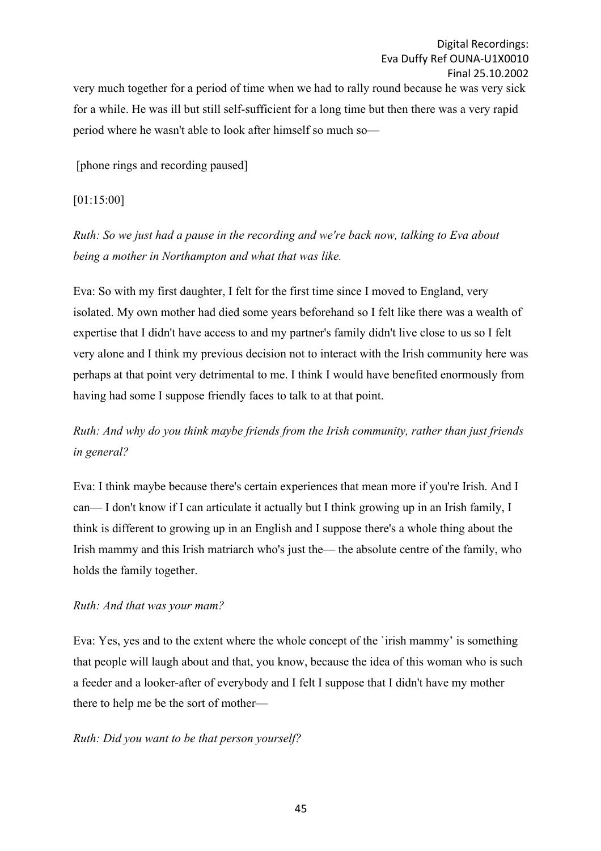very much together for a period of time when we had to rally round because he was very sick for a while. He was ill but still self-sufficient for a long time but then there was a very rapid period where he wasn't able to look after himself so much so—

[phone rings and recording paused]

[01:15:00]

*Ruth: So we just had a pause in the recording and we're back now, talking to Eva about being a mother in Northampton and what that was like.*

Eva: So with my first daughter, I felt for the first time since I moved to England, very isolated. My own mother had died some years beforehand so I felt like there was a wealth of expertise that I didn't have access to and my partner's family didn't live close to us so I felt very alone and I think my previous decision not to interact with the Irish community here was perhaps at that point very detrimental to me. I think I would have benefited enormously from having had some I suppose friendly faces to talk to at that point.

*Ruth: And why do you think maybe friends from the Irish community, rather than just friends in general?*

Eva: I think maybe because there's certain experiences that mean more if you're Irish. And I can— I don't know if I can articulate it actually but I think growing up in an Irish family, I think is different to growing up in an English and I suppose there's a whole thing about the Irish mammy and this Irish matriarch who's just the— the absolute centre of the family, who holds the family together.

## *Ruth: And that was your mam?*

Eva: Yes, yes and to the extent where the whole concept of the `irish mammy' is something that people will laugh about and that, you know, because the idea of this woman who is such a feeder and a looker-after of everybody and I felt I suppose that I didn't have my mother there to help me be the sort of mother—

## *Ruth: Did you want to be that person yourself?*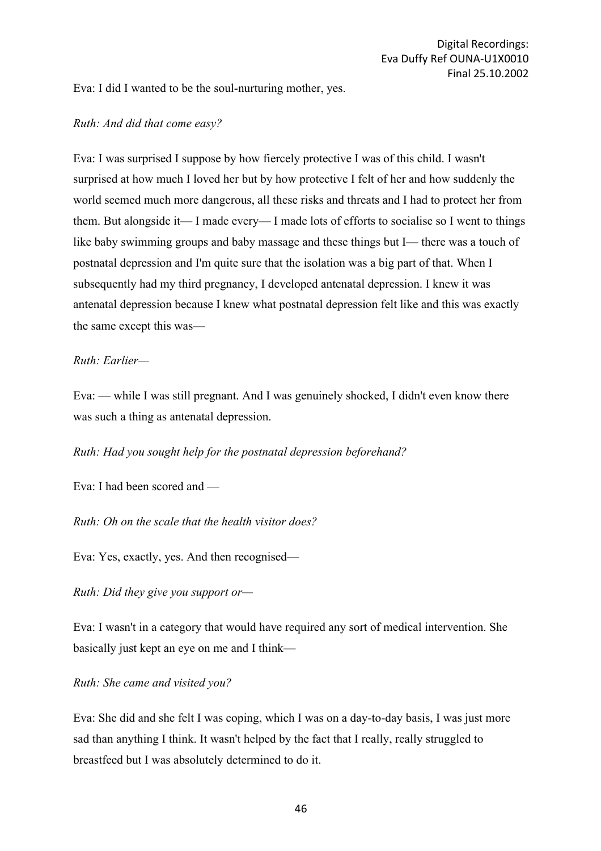Eva: I did I wanted to be the soul-nurturing mother, yes.

### *Ruth: And did that come easy?*

Eva: I was surprised I suppose by how fiercely protective I was of this child. I wasn't surprised at how much I loved her but by how protective I felt of her and how suddenly the world seemed much more dangerous, all these risks and threats and I had to protect her from them. But alongside it— I made every— I made lots of efforts to socialise so I went to things like baby swimming groups and baby massage and these things but I— there was a touch of postnatal depression and I'm quite sure that the isolation was a big part of that. When I subsequently had my third pregnancy, I developed antenatal depression. I knew it was antenatal depression because I knew what postnatal depression felt like and this was exactly the same except this was—

### *Ruth: Earlier—*

Eva: — while I was still pregnant. And I was genuinely shocked, I didn't even know there was such a thing as antenatal depression.

*Ruth: Had you sought help for the postnatal depression beforehand?*

Eva: I had been scored and —

*Ruth: Oh on the scale that the health visitor does?*

Eva: Yes, exactly, yes. And then recognised—

*Ruth: Did they give you support or—*

Eva: I wasn't in a category that would have required any sort of medical intervention. She basically just kept an eye on me and I think—

*Ruth: She came and visited you?*

Eva: She did and she felt I was coping, which I was on a day-to-day basis, I was just more sad than anything I think. It wasn't helped by the fact that I really, really struggled to breastfeed but I was absolutely determined to do it.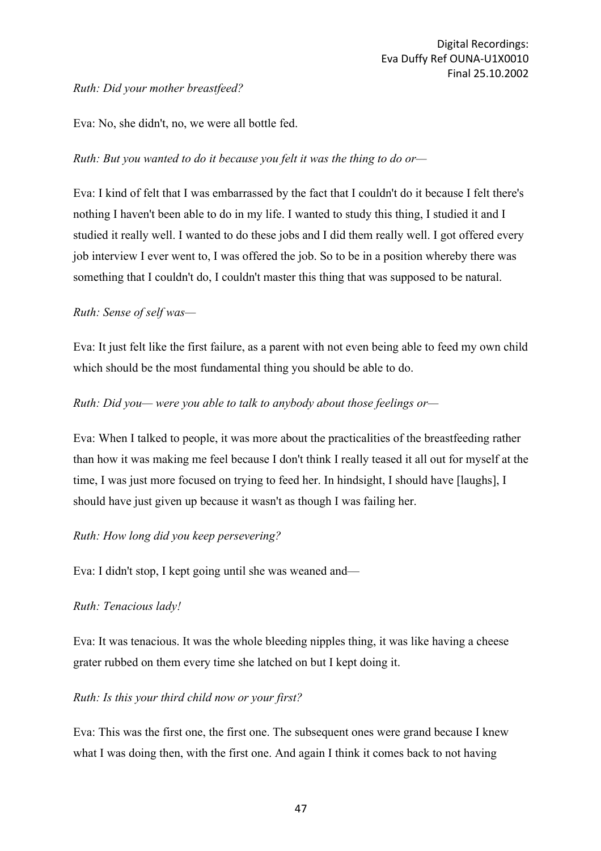## *Ruth: Did your mother breastfeed?*

Eva: No, she didn't, no, we were all bottle fed.

## *Ruth: But you wanted to do it because you felt it was the thing to do or—*

Eva: I kind of felt that I was embarrassed by the fact that I couldn't do it because I felt there's nothing I haven't been able to do in my life. I wanted to study this thing, I studied it and I studied it really well. I wanted to do these jobs and I did them really well. I got offered every job interview I ever went to, I was offered the job. So to be in a position whereby there was something that I couldn't do, I couldn't master this thing that was supposed to be natural.

## *Ruth: Sense of self was—*

Eva: It just felt like the first failure, as a parent with not even being able to feed my own child which should be the most fundamental thing you should be able to do.

## *Ruth: Did you— were you able to talk to anybody about those feelings or—*

Eva: When I talked to people, it was more about the practicalities of the breastfeeding rather than how it was making me feel because I don't think I really teased it all out for myself at the time, I was just more focused on trying to feed her. In hindsight, I should have [laughs], I should have just given up because it wasn't as though I was failing her.

## *Ruth: How long did you keep persevering?*

Eva: I didn't stop, I kept going until she was weaned and—

## *Ruth: Tenacious lady!*

Eva: It was tenacious. It was the whole bleeding nipples thing, it was like having a cheese grater rubbed on them every time she latched on but I kept doing it.

### *Ruth: Is this your third child now or your first?*

Eva: This was the first one, the first one. The subsequent ones were grand because I knew what I was doing then, with the first one. And again I think it comes back to not having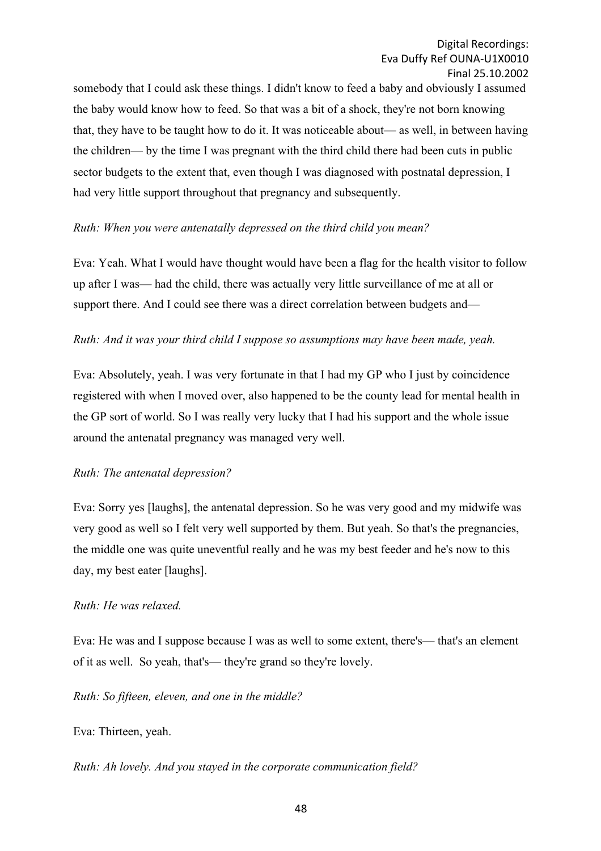somebody that I could ask these things. I didn't know to feed a baby and obviously I assumed the baby would know how to feed. So that was a bit of a shock, they're not born knowing that, they have to be taught how to do it. It was noticeable about— as well, in between having the children— by the time I was pregnant with the third child there had been cuts in public sector budgets to the extent that, even though I was diagnosed with postnatal depression, I had very little support throughout that pregnancy and subsequently.

## *Ruth: When you were antenatally depressed on the third child you mean?*

Eva: Yeah. What I would have thought would have been a flag for the health visitor to follow up after I was— had the child, there was actually very little surveillance of me at all or support there. And I could see there was a direct correlation between budgets and—

## *Ruth: And it was your third child I suppose so assumptions may have been made, yeah.*

Eva: Absolutely, yeah. I was very fortunate in that I had my GP who I just by coincidence registered with when I moved over, also happened to be the county lead for mental health in the GP sort of world. So I was really very lucky that I had his support and the whole issue around the antenatal pregnancy was managed very well.

## *Ruth: The antenatal depression?*

Eva: Sorry yes [laughs], the antenatal depression. So he was very good and my midwife was very good as well so I felt very well supported by them. But yeah. So that's the pregnancies, the middle one was quite uneventful really and he was my best feeder and he's now to this day, my best eater [laughs].

## *Ruth: He was relaxed.*

Eva: He was and I suppose because I was as well to some extent, there's— that's an element of it as well. So yeah, that's— they're grand so they're lovely.

### *Ruth: So fifteen, eleven, and one in the middle?*

Eva: Thirteen, yeah.

*Ruth: Ah lovely. And you stayed in the corporate communication field?*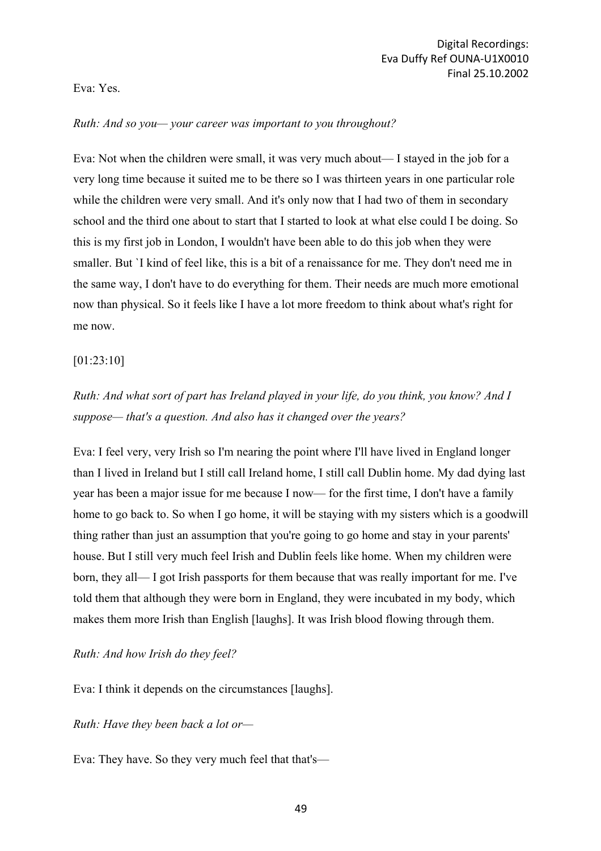### Eva: Yes.

### *Ruth: And so you— your career was important to you throughout?*

Eva: Not when the children were small, it was very much about— I stayed in the job for a very long time because it suited me to be there so I was thirteen years in one particular role while the children were very small. And it's only now that I had two of them in secondary school and the third one about to start that I started to look at what else could I be doing. So this is my first job in London, I wouldn't have been able to do this job when they were smaller. But `I kind of feel like, this is a bit of a renaissance for me. They don't need me in the same way, I don't have to do everything for them. Their needs are much more emotional now than physical. So it feels like I have a lot more freedom to think about what's right for me now.

## [01:23:10]

# *Ruth: And what sort of part has Ireland played in your life, do you think, you know? And I suppose— that's a question. And also has it changed over the years?*

Eva: I feel very, very Irish so I'm nearing the point where I'll have lived in England longer than I lived in Ireland but I still call Ireland home, I still call Dublin home. My dad dying last year has been a major issue for me because I now— for the first time, I don't have a family home to go back to. So when I go home, it will be staying with my sisters which is a goodwill thing rather than just an assumption that you're going to go home and stay in your parents' house. But I still very much feel Irish and Dublin feels like home. When my children were born, they all— I got Irish passports for them because that was really important for me. I've told them that although they were born in England, they were incubated in my body, which makes them more Irish than English [laughs]. It was Irish blood flowing through them.

### *Ruth: And how Irish do they feel?*

Eva: I think it depends on the circumstances [laughs].

*Ruth: Have they been back a lot or—*

Eva: They have. So they very much feel that that's—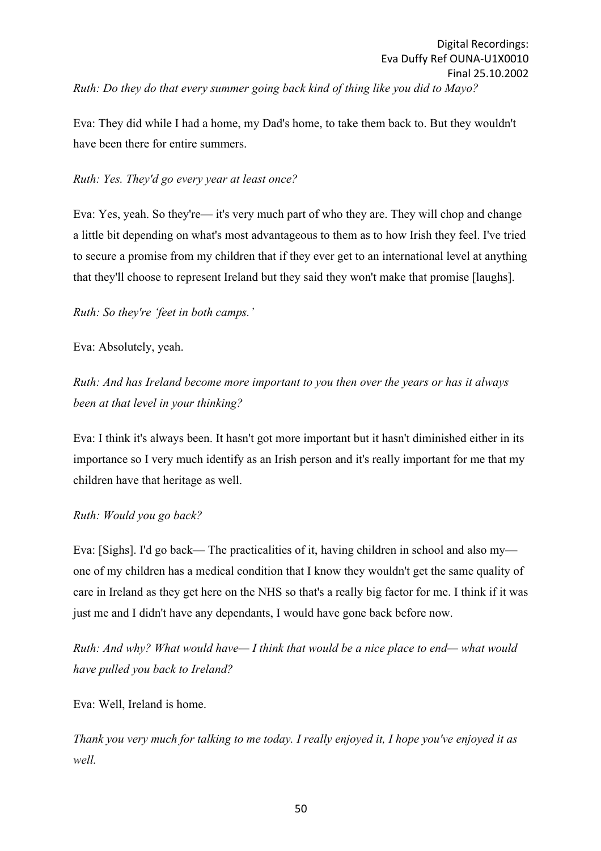Eva: They did while I had a home, my Dad's home, to take them back to. But they wouldn't have been there for entire summers.

## *Ruth: Yes. They'd go every year at least once?*

Eva: Yes, yeah. So they're— it's very much part of who they are. They will chop and change a little bit depending on what's most advantageous to them as to how Irish they feel. I've tried to secure a promise from my children that if they ever get to an international level at anything that they'll choose to represent Ireland but they said they won't make that promise [laughs].

*Ruth: So they're 'feet in both camps.'*

Eva: Absolutely, yeah.

*Ruth: And has Ireland become more important to you then over the years or has it always been at that level in your thinking?*

Eva: I think it's always been. It hasn't got more important but it hasn't diminished either in its importance so I very much identify as an Irish person and it's really important for me that my children have that heritage as well.

## *Ruth: Would you go back?*

Eva: [Sighs]. I'd go back— The practicalities of it, having children in school and also my one of my children has a medical condition that I know they wouldn't get the same quality of care in Ireland as they get here on the NHS so that's a really big factor for me. I think if it was just me and I didn't have any dependants, I would have gone back before now.

*Ruth: And why? What would have— I think that would be a nice place to end— what would have pulled you back to Ireland?*

Eva: Well, Ireland is home.

*Thank you very much for talking to me today. I really enjoyed it, I hope you've enjoyed it as well.*